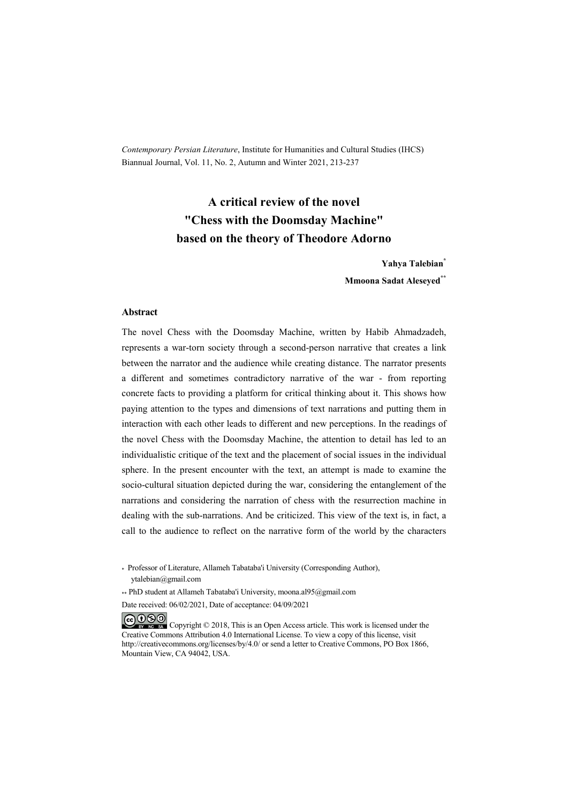*Contemporary Persian Literature*, Institute for Humanities and Cultural Studies (IHCS) Biannual Journal, Vol. 11, No. 2, Autumn and Winter 2021, 213-237

# **A critical review of the novel "Chess with the Doomsday Machine" based on the theory of Theodore Adorno**

**Yahya Talebian\* Mmoona Sadat Aleseyed\*\***

#### **Abstract**

The novel Chess with the Doomsday Machine, written by Habib Ahmadzadeh, represents a war-torn society through a second-person narrative that creates a link between the narrator and the audience while creating distance. The narrator presents a different and sometimes contradictory narrative of the war - from reporting concrete facts to providing a platform for critical thinking about it. This shows how paying attention to the types and dimensions of text narrations and putting them in interaction with each other leads to different and new perceptions. In the readings of the novel Chess with the Doomsday Machine, the attention to detail has led to an individualistic critique of the text and the placement of social issues in the individual sphere. In the present encounter with the text, an attempt is made to examine the socio-cultural situation depicted during the war, considering the entanglement of the narrations and considering the narration of chess with the resurrection machine in dealing with the sub-narrations. And be criticized. This view of the text is, in fact, a call to the audience to reflect on the narrative form of the world by the characters

\* Professor of Literature, Allameh Tabataba'i University (Corresponding Author), ytalebian@gmail.com

\*\* PhD student at Allameh Tabataba'i University, moona.al95@gmail.com

Date received: 06/02/2021, Date of acceptance: 04/09/2021

COOO Copyright © 2018, This is an Open Access article. This work is licensed under the Creative Commons Attribution 4.0 International License. To view a copy of this license, visit http://creativecommons.org/licenses/by/4.0/ or send a letter to Creative Commons, PO Box 1866, Mountain View, CA 94042, USA.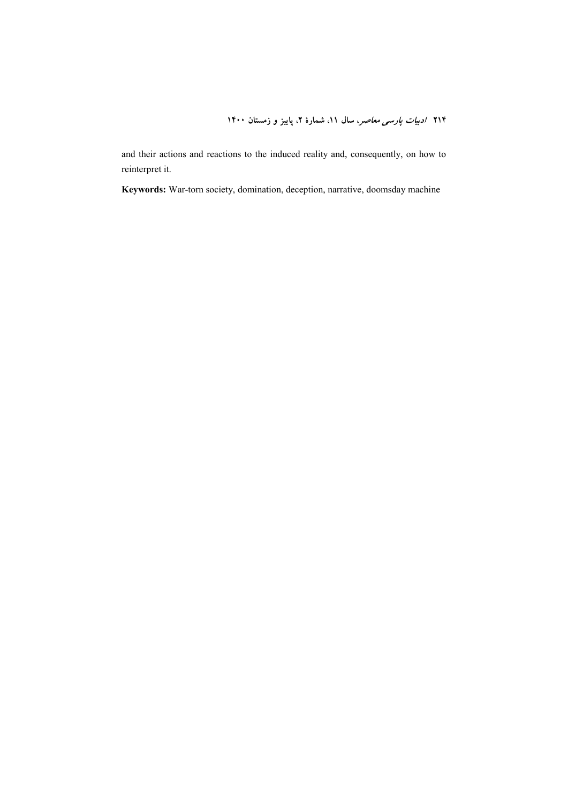and their actions and reactions to the induced reality and, consequently, on how to reinterpret it.

**Keywords:** War-torn society, domination, deception, narrative, doomsday machine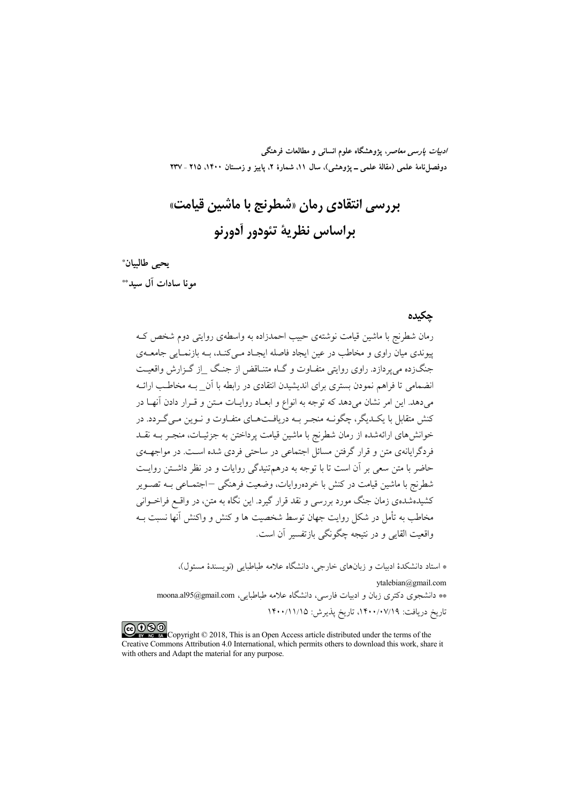*ادبیات پارسی معاصر*، پژوهشگاه علوم انسانی و مطالعات فرهنگی دوفصلiاههٔ علمی (مقالهٔ علمی ــ پژوهشی)، سال ۱۱، شمارهٔ ۲، پاییز و زمستان ۱۴۰۰، ۲۱۵ ـ ۲۳۷

# بررسی انتقادی رمان «شطرنج با ماشین قیامت» پراساس نظريهٔ تئودور آدورنو

يحيى طالبيان\*

مه نا سادات آل سيد\*\*

#### حكىدە

رمان شطرنج با ماشین قیامت نوشتهی حبیب احمدزاده به واسطهی روایتی دوم شخص ک پیوندی میان راوی و مخاطب در عین ایجاد فاصله ایجـاد مـی کنـد، بـه بازنمـایی جامعـهی جنگزده می پردازد. راوی روایتی متفـاوت و گـاه متنـاقض از جنـگ \_از گـزارش واقعیـت انضمامی تا فراهم نمودن بستری برای اندیشیدن انتقادی در رابطه با آن ببه مخاطب ارائبه می دهد. این امر نشان می دهد که توجه به انواع و ابعـاد روایـات مـتن و قـرار دادن آنهـا در کنش متقابل با یک دیگر، چگونــه منجـر بــه دریافـتهــای متفــاوت و نــوین مــی گــردد. در خوانش های ارائهشده از رمان شطرنج با ماشین قیامت برداختن به جزئیـات، منجـر بــه نقــد فردگرایانهی متن و قرار گرفتن مسائل اجتماعی در ساحتی فردی شده است. در مواجهــهی حاضر با متن سعی بر آن است تا با توجه به درهم تنبدگی روایات و در نظر داشتن روایت شطرنج با ماشین قیامت در کنش با خردهروایات، وضعیت فرهنگی –اجتمــاعی بــه تصــویر کشیدهشدهی زمان جنگ مورد بررسی و نقد قرار گیرد. این نگاه به متن، در واقــع فراخــوانی مخاطب به تأمل در شکل روایت جهان توسط شخصیت ها و کنش و واکنش آنها نسبت بـه واقعیت القایی و در نتیجه چگونگی بازتفسیر آن است.

\* استاد دانشکدهٔ ادبیات و زبانهای خارجی، دانشگاه علامه طباطبایی (نویسندهٔ مسئول)،

vtalebian@gmail.com \*\* دانشجوی دکتری زبان و ادبیات فارسی، دانشگاه علامه طباطبایی، moona.al95@gmail.com تاريخ دريافت: ١۴٠٠/٠٧/١٩، تاريخ پذيرش: ١۴٠٠/١١/١٥

COOD experience Copyright © 2018, This is an Open Access article distributed under the terms of the Creative Commons Attribution 4.0 International, which permits others to download this work, share it with others and Adapt the material for any purpose.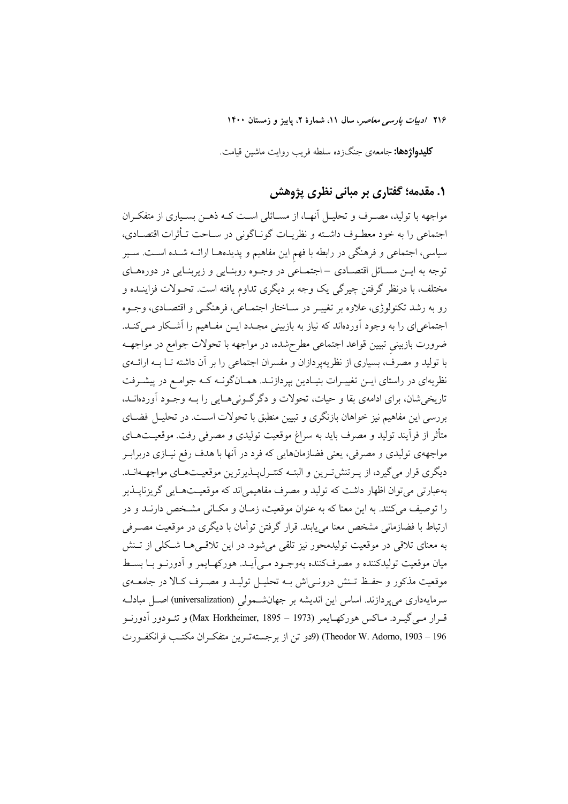**کلیدواژهها:** جامعهی جنگزده سلطه فریب روایت ماشین قیامت.

# ۰. مقدمه؛ گفتاری بر مبانی نظری پژوهش

مواجهه با تولید، مصـرف و تحلیــل آنهــا، از مســائلی اســت کــه ذهــن بســیاری از متفکــران اجتماعی را به خود معطـوف داشــته و نظریــات گونــاگونی در ســاحت تــأثرات اقتصــادی، سیاسی، اجتماعی و فرهنگی در رابطه با فهم این مفاهیم و پدیدههـا ارائــه شــده اســت. ســیر توجه به ايــن مســائل اقتصــادى – اجتمــاعى در وجــوه روبنــايى و زيربنــايى در دورههــاى مختلف، با درنظر گرفتن چیرگی یک وجه بر دیگری تداوم یافته است. تحـولات فزاینــده و رو به رشد تکنولوژي، علاوه بر تغييـر در سـاختار اجتمـاعي، فرهنگـي و اقتصـادي، وجــوه اجتماعیای را به وجود آوردهاند که نیاز به بازبینی مجـدد ایــن مفـاهیم را آشـكار مــیكنـد. ضرورت بازبینی تبیین قواعد اجتماعی مطرحشده، در مواجهه با تحولات جوامع در مواجهــه با تولید و مصرف، بسیاری از نظریهپردازان و مفسران اجتماعی را بر آن داشته تــا بــه ارائــهی نظریهای در راستای ایــن تغییــرات بنیــادین بپردازنــد. همــانگونــه کــه جوامــع در پیشــرفت تاریخی شان، برای ادامهی بقا و حیات، تحولات و دگر گـونی هـایی را بــه وجـود آوردهانــد، بررسی این مفاهیم نیز خواهان بازنگری و تبیین منطبق با تحولات است. در تحلیـل فضـای .<br>متأثر از فراّیند تولید و مصرف باید به سراغ موقعیت تولیدی و مصرفی رفت. موقعیتهـای مواجههی تولیدی و مصرفی، یعنی فضازمانهایی که فرد در آنها با هدف رفع نیـازی دربرابـر دیگری قرار می گیرد، از پیرتنش تیرین و البتیه کنتیرل پیذیرترین موقعیتهای مواجههانید. بهعبارتي مي توان اظهار داشت كه توليد و مصرف مفاهيمي اند كه موقعيــتهــايي گريزنايــذير را توصيف مي كنند. به اين معنا كه به عنوان موقعيت، زمـان و مكــاني مشــخص دارنــد و در ارتباط با فضازمانی مشخص معنا می پابند. قرار گرفتن توأمان با دیگری در موقعیت مصـرفی به معنای تلاقی در موقعیت تولیدمحور نیز تلقی می شود. در این تلاقـیهـا شـكلی از تـنش ميان موقعيت توليدكننده و مصرفكننده بهوجـود مـي]يــد. هوركهــايمر و اَدورنــو بــا بســط موقعیت مذکور و حفـظ تـنش درونـی|ش بـه تحلیـل تولیـد و مصـرف کـالا در جامعــهی سرمایهداری میپردازند. اساس این اندیشه بر جهانشـمولی (universalization) اصـل مبادلـه قـرار مـي5گيـرد. مـاكس هوركهـايمر (Max Horkheimer, 1895 – 1973) و تئـودور أدورنـو Theodor W. Adorno, 1903 – 196) (9دو تن از برجستهترين متفكران مكتب فرانكفورت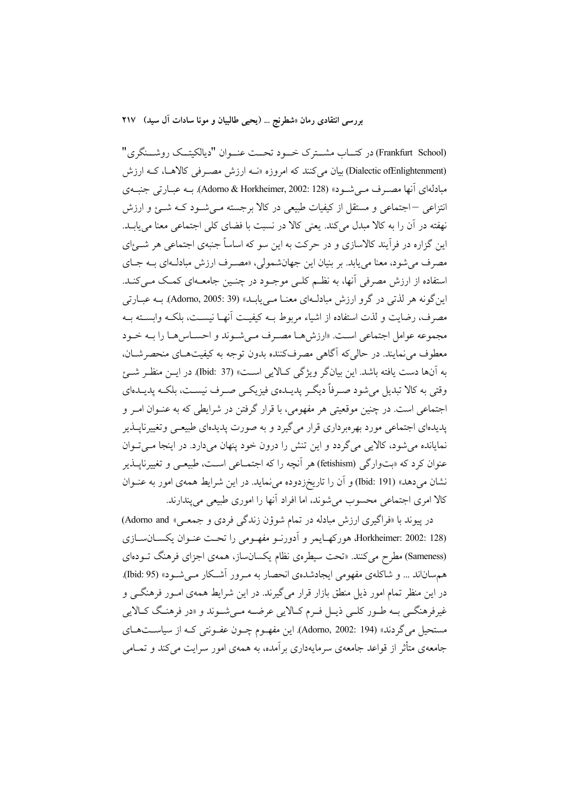(Frankfurt School) در کتــاب مشــترک خـــود تحــت عنــوان "دیالکیتــک روشـــنگری" (Dialectic ofEnlightenment) بیان میکنند که امروزه «نــه ارزش مصـرفی کالاهـا، کـه ارزش مبادلهای آنها مصرف می شـود» (Adorno & Horkheimer, 2002: 128). بـه عبـارتی جنبـهی انتزاعی –اجتماعی و مستقل از کیفیات طبیعی در کالا برجسته مـی شـود کـه شـئ و ارزش نهفته در آن را به کالا مبدل می کند. یعنی کالا در نسبت با فضای کلی اجتماعی معنا می یابــد. این گزاره در فرآیند کالاسازی و در حرکت به این سو که اساساً جنبهی اجتماعی هر شــئ|ی مصرف می شود، معنا می یابد. بر بنیان این جهانشمولی، «مصـرف ارزش مبادلـهای بــه جـای استفاده از ارزش مصرفی آنها، به نظـم کلـی موجـود در چنـین جامعـهای کمـک مـی کنـد. این گونه هر لذتی در گرو ارزش مبادلهای معنـا مـییابـد» (Adorno, 2005: 39). بـه عبـارتی مصرف، رضايت و لذت استفاده از اشياء مربوط بــه كيفيــت أنهــا نيســت، بلكــه وابســته بــه مجموعه عوامل اجتماعي است. «ارزشهـا مصـرف مـي شـوند و احسـاس هـا را بــه خـود معطوف مي نمايند. در حالي كه آگاهي مصرف كننده بدون توجه به كيفيتهاي منحصرشيان، به آنها دست یافته باشد. این بیانگر ویژگی کـالایی اسـت» (37 :bid) در ایــن منظـر شـــئ وقتی به کالا تبدیل می شود صـرفاً دیگـر پدیــدهی فیزیکــی صـرف نیســت، بلکــه پدیــدهای اجتماعی است. در چنین موقعیتی هر مفهومی، با قرار گرفتن در شرایطی که به عنـوان امـر و پدیدهای اجتماعی مورد بهرهبرداری قرار می گیرد و به صورت پدیدهای طبیعـی وتغییرناپــذیر نمایانده می شود، کالایی می گردد و این تنش را درون خود پنهان می دارد. در اینجا مــی تــوان عنوان کرد که «بتوارگی (fetishism) هر آنچه را که اجتمــاعی اسـت، طبیعــی و تغییرناپــذیر نشان میدهد» (Ibid: 191) و آن را تاریخزدوده می نماید. در این شرایط همهی امور به عنــوان كالا امرى اجتماعى محسوب مى شوند، اما افراد آنها را امورى طبيعى مى پندارند.

در پیوند با «فراگیری ارزش مبادله در تمام شوؤن زندگی فردی و جمعی» Adorno and) Horkheimer: 2002: 128) هوركهـايمر و أدورنـو مفهـومي را تحـت عنـوان يكســانســازي (Sameness) مطرح میکنند. «تحت سیطرهی نظام یکسانساز، همهی اجزای فرهنگ تــودهای هم ساناند … و شاکلهی مفهومی ایجادشدهی انحصار به مـرور آشـکار مـی شـود» (Ibid: 95). در این منظر تمام امور ذیل منطق بازار قرار می گیرند. در این شرایط همهی امـور فرهنگــی و غيرفرهنگــي بــه طــور كلــي ذيــل فــرم كــالايـي عرضـــه مــي شــوند و «در فرهنــگ كــالايـي مستحیل میگردند» (Adorno, 2002: 194). این مفهـوم چـون عفـونتی کـه از سیاسـتهـای جامعهی متأثر از قواعد جامعهی سرمایهداری بر آمده، به همهی امور سرایت می کند و تمــامی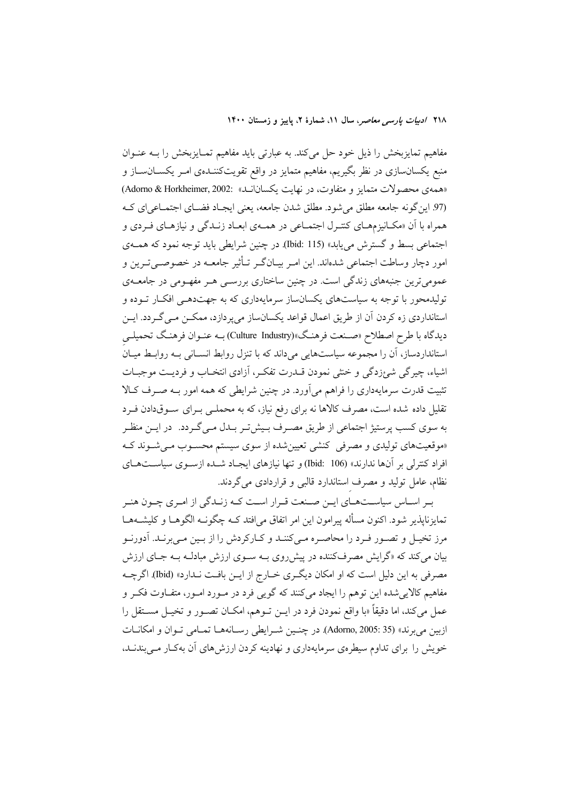مفاهیم تمایزبخش را ذیل خود حل میکند. به عبارتی باید مفاهیم تمـایزبخش را بـه عنـوان منبع یکسانسازی در نظر بگیریم، مفاهیم متمایز در واقع تقویتکننـدهی امـر یکســانســاز و «همهي محصولات متمايز و متفاوت، در نهايت يكسانانـد» :Adorno & Horkheimer, 2002 (97 این گونه جامعه مطلق می شود. مطلق شدن جامعه، یعنی ایجـاد فضـای اجتمـاعی ای کـه همراه با آن «مکـانیزمهـای کنتـرل اجتمـاعی در همـهی ابعـاد زنـدگی و نیازهـای فـردی و اجتماعی بسط و گسترش می یابد» (Ibid: 115). در چنین شرایطی باید توجه نمود که همـهی امور دچار وساطت اجتماعی شدهاند. این امـر بیـانگـر تـأثیر جامعـه در خصوصــیتـرین و عمومی ترین جنبههای زندگی است. در چنین ساختاری بررســی هــر مفهــومی در جامعــهی تولیدمحور با توجه به سیاستهای یکسانساز سرمایهداری که به جهتدهـی افکـار تـوده و استانداردي زه كردن آن از طريق اعمال قواعد يكسانساز مي پردازد، ممكــن مــي گــردد. ايــن دیدگاه با طرح اصطلاح «صـنعت فرهنـگ»(Culture Industry) بـه عنـوان فرهنـگ تحمیلـی استانداردساز، اَن را مجموعه سیاستهایی می،داند که با تنزل روابط انســانی بــه روابــط میــانُ اشباء، چیرگی شہ؛زدگی و خنثی نمودن قــدرت تفکـر، آزادی انتخــاب و فردیــت موجبــات تثبیت قدرت سرمایهداری را فراهم میآورد. در چنین شرایطی که همه امور بـه صـرف کـالا تقلیل داده شده است، مصرف کالاها نه برای رفع نیاز، که به محملـی بــرای ســوقدادن فــرد به سوی کسب پرستیژ اجتماعی از طریق مصـرف بـیش5تـر بـدل مـیگـردد. در ایــن منظـر «موقعیتهای تولیدی و مصرفی کنشی تعیین شده از سوی سیستم محسـوب مـی شـوند کـه افراد کنترلی بر آنها ندارند» (Ibid: 106) و تنها نیازهای ایجاد شـده ازسـوی سیاسـتهـای نظام، عامل تولید و مصرف استاندارد قالبی و قراردادی میگردند.

بـر اسـاس سیاســتهـای ایــن صــنعت قــرار اسـت کــه زنــدگی از امـری چــون هنــر تمايزناپذير شود. اكنون مسأله پيرامون اين امر اتفاق مي|فتد كــه چگونــه الگوهــا و كليشــههــا مرز تخیـل و تصـور فـرد را محاصـره مـیکننـد و کـارکردش را از بـین مـیبرنـد. آدورنـو بیان میکند که «گرایش مصرفکننده در پیشرروی بـه سـوی ارزش مبادلـه بـه جـای ارزش مصرفی به این دلیل است که او امکان دیگری خـارج از ایــن بافـت نــدارد» (Ibid). اگرچــه مفاهیم کالاییشده این توهم را ایجاد میکنند که گویی فرد در مـورد امـور، متفـاوت فکـر و عمل می کند، اما دقیقاً «با واقع نمودن فرد در ایــن تــوهم، امکــان تصــور و تخیــل مســتقل را ازبین میبرند» (35 :Adorno, 2005). در چنین شرایطی رسانهها تمامی توان و امکانات خویش را برای تداوم سیطرهی سرمایهداری و نهادینه کردن ارزش های آن بهکـار مـی بندنــد،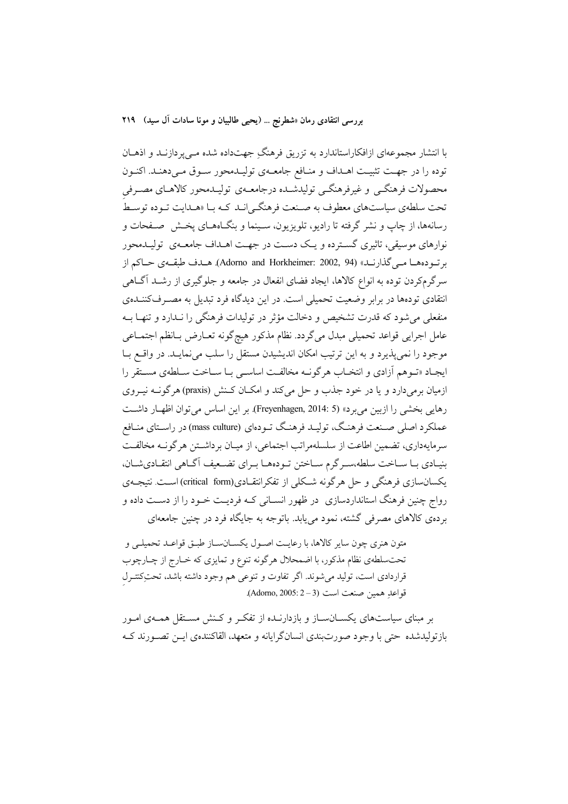با انتشار مجموعهای ازافکاراستاندارد به تزریق فرهنگِ جهتداده شده مـیپردازنـد و اذهــان توده را در جهت تثبیت اهـداف و منـافع جامعـهى توليـدمحور سـوق مـىدهنـد. اكنـون محصولات فرهنگـي و غيرفرهنگـي توليدشـده درجامعـهي توليـدمحور كالاهـاي مصـرفي تحت سلطهي سياستهاي معطوف به صـنعت فرهنگــي|نــد كــه بــا «هــدايت تــوده توســط رسانهها، از چاپ و نشر گرفته تا رادیو، تلویزیون، سـینما و بنگـاههـای یخـش ِ صـفحات و نوارهای موسیقی، تاثیری گسترده و یک دست در جهت اهــداف جامعــهی تولیــدمحور برتودهها مـي گذارنـد» (Adorno and Horkheimer: 2002, 94). هـدف طبقـهى حـاكم از سرگرمکردن توده به انواع کالاها، ایجاد فضای انفعال در جامعه و جلوگیری از رشــد آگــاهی انتقادی تودهها در برابر وضعیت تحمیلی است. در این دیدگاه فرد تبدیل به مصـرفکننــدهی منفعلی می شود که قدرت تشخیص و دخالت مؤثر در تولیدات فرهنگی را نـدارد و تنهـا بــه عامل اجرایی قواعد تحمیلی مبدل میگردد. نظام مذکور هیچگونه تعـارض بـانظم اجتمــاعی موجود را نمي پذيرد و به اين ترتيب امكان انديشيدن مستقل را سلب مي نمايـد. در واقــع بــا ايجـاد «تـوهم أزادي و انتخـاب هرگونــه مخالفـت اساســي بــا ســاخت ســلطهي مســتقر را ازمیان برمیدارد و یا در خود جذب و حل می کند و امکـان کـنش (praxis) هرگونــه نیــروی رهايي بخشي را ازبين مي برد» (Freyenhagen, 2014: 5). بر اين اساس مي توان اظهـار داشـت عملکرد اصلی صـنعت فرهنگ، تولیـد فرهنـگ تـودهای (mass culture) در راسـتای منـافع سرمایهداری، تضمین اطاعت از سلسلهمراتب اجتماعی، از میـان برداشـتن هرگونــه مخالفـت بنیـادی بـا سـاخت سلطه،سـرگرم سـاختن تـودههـا بـرای تضـعیف اَگـاهی انتقـادیشـان، یکسان سازی فرهنگی و حل هرگونه شکلی از تفکرانتقـادی(critical form) اسـت. نتیجـهی رواج چنین فرهنگ استانداردسازی ً در ظهور انسـانی کـه فردیـت خـود را از دسـت داده و بردهی کالاهای مصرفی گشته، نمود مییابد. باتوجه به جایگاه فرد در چنین جامعهای

متون هنري چون ساير كالاها، با رعايت اصـول يكسـانسـاز طبـق قواعـد تحميلـي و تحتسلطهي نظام مذكور، با اضمحلال هرگونه تنوع و تمايزي كه خـارج از چـارچوب قراردادی است، تولید میشوند. اگر تفاوت و تنوعی هم وجود داشته باشد، تحتِکتتـرل قواعدِ همين صنعت است (Adorno, 2005: 2-3).

بر مبنای سیاستهای یکســانســاز و بازدارنــده از تفکـر و کــنش مســتقل همــهی امــور بازتوليدشده حتى با وجود صورتبندي انسانگرايانه و متعهد، القاكنندهي ايــن تصــورند كــه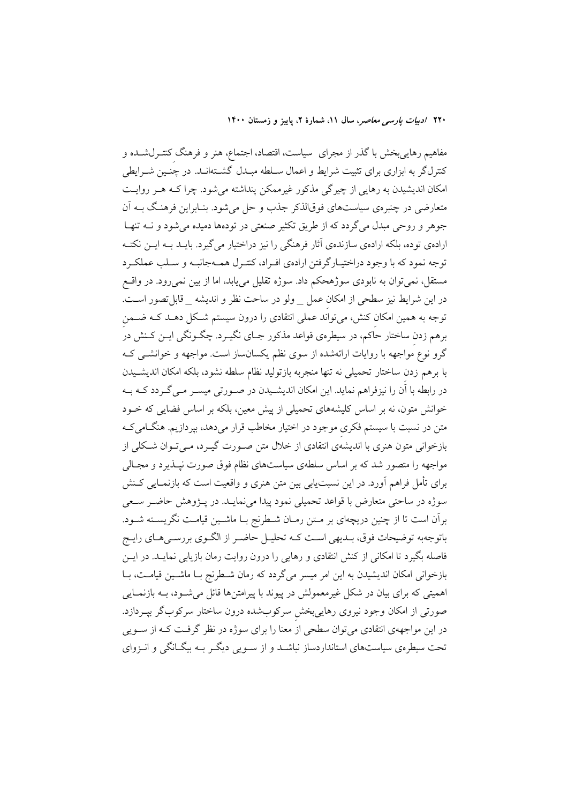مفاهیم رهاییبخش با گذر از مجرای ًسیاست، اقتصاد، اجتماع، هنر و فرهنگ کنتـرلشــده و کنترلگر به ابزاری برای تثبیت شرایط و اعمال سـلطه مبـدل گشــتهانـد. در چنــین شــرایطی امکان اندیشیدن به رهایی از چیرگی مذکور غیرممکن پنداشته میشود. چرا کـه هـر روایـت متعارضي در چنبرهي سياستهاي فوقالذكر جذب و حل مي شود. بنـابراين فرهنـگ بــه آن جوهر و روحی مبدل میگردد که از طریق تکثیر صنعتی در تودهها دمیده میشود و نــه تنهـا ارادهی توده، بلکه ارادهی سازندهی آثار فرهنگی را نیز دراختیار می گیرد. بایــد بــه ایــن نکتــه توجه نمود که با وجود دراختیـارگرفتن ارادهي افـراد، کنتـرل همـهجانبـه و سـلب عملکـرد مستقل، نمی توان به نابودی سوژهحکم داد. سوژه تقلیل می یابد، اما از بین نمی رود. در واقسع در این شرایط نیز سطحی از امکان عمل \_ ولو در ساحت نظر و اندیشه \_ قابل تصور است. توجه به همین امکان کنش، میتواَند عملی انتقادی را درون سیستم شـکل دهــد کــه ضــمن برهم زدن ساختار حاکم، در سیطرهی قواعد مذکور جـای نگیــرد. چگــونگـی ایــن کــنش در گرو نوع مُواجهه با روایات ارائهشده از سوی نظم یکسانساز است. مواجهه و خوانشــی کــه با برهم زدن ساختار تحميلي نه تنها منجربه بازتوليد نظام سلطه نشود، بلكه امكان انديشـيدن در رابطه با آن را نیزفراهم نماید. این امکان اندیشـیدن در صـورتی میسـر مـی گـردد کـه بـه خوانش متون، نه بر اساس کلیشههای تحمیلی از پیش معین، بلکه بر اساس فضایی که خــود متن در نسبت با سیستم فکری موجود در اختیار مخاطب قرار میدهد، بپردازیم. هنگـامیکـه بازخوانی متون هنری با اندیشهی انتقادی از خلال متن صـورت گیـرد، مـی تـوان شـکلی از مواجهه را متصور شد که بر اساس سلطهی سیاستهای نظام فوق صورت نیــذیرد و مجــالی برای تأمل فراهم آورد. در این نسبت یابی بین متن هنری و واقعیت است که بازنمـایی کـنش سوژه در ساحتی متعارض با قواعد تحمیلی نمود پیدا می نمایـد. در پــژوهش حاضــر ســعی برآن است تا از چنین دریچهای بر مـتن رمـان شـطرنج بـا ماشـین قیامـت نگریسـته شـود. باتوجهبه توضيحات فوق، بـديهي اسـت كـه تحليـل حاضـر از الگـوي بررسـي هـاي رايـج فاصله بگیرد تا امکانی از کنش انتقادی و رهایی را درون روایت رمان بازیابی نمایــد. در ایــن بازخوانی امکان اندیشیدن به این امر میسر میگردد که رمان شـطرنج بـا ماشـین قیامـت، بـا اهمیتی که برای بیان در شکل غیرمعمولش در پیوند با پیرامتنها قائل میشود، بـه بازنمـایی صورتی از امکان وجود نیروی رهایی بخش سرکوبشده درون ساختار سرکوبگر بپـردازد. در این مواجههی انتقادی میتوان سطحی از معنا را برای سوژه در نظر گرفـت کـه از ســویی تحت سیطرهی سیاستهای استانداردساز نباشـد و از سـویی دیگـر بـه بیگـانگی و انـزوای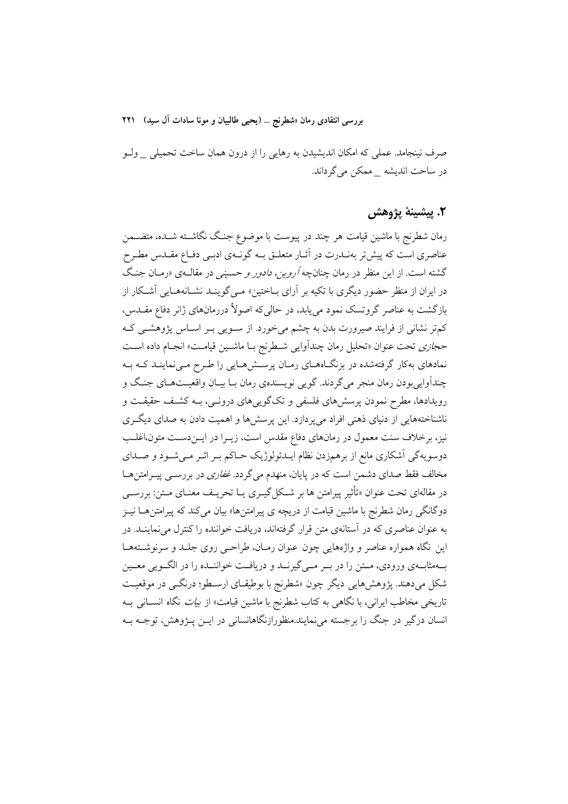صرف نینجامد. عملی که امکان اندیشیدن به رهایی را از درون همان ساخت تحمیلی \_ ولـو در ساحت اندیشه \_ ممکن می گرداند.

### ٢. پيشينهٔ يژوهش

رمان شطرنج با ماشین قیامت هر چند در پیوست با موضوع جنگ نگاشــته شــده، متضــمن عناصری است که پیش تر بهنـدرت در آثـار متعلـق بــه گونــهی ادبـی دفــاع مقــدس مطـرح گشته است. از این منظر در رمان چنانچه *آروین، دادور و حسینی* در مقالـهی «رمـان جنـگ در ایران از منظر حضور دیگری با تکیه بر آرای بـاختین» مـی&وینـد نشـانههـایی آشـکار از بازگشت به عناصر گروتسک نمود می،یابد، در حالی که اصولاً دررمانهای ژانر دفاع مقــدس، کمتر نشانی از فرایند صیرورت بدن به چشم می خورد. از سـویی بـر اسـاس پژوهشـی کـه حج*ازي* تحت عنوان «تحليل رمان چندآوايي شـطرنج بـا ماشـين قيامـت» انجـام داده اسـت نمادهای بهکار گرفتهشده در بزنگاههای رمان پرسش هایی را طرح میینماینـد کـه بـه چنداواییبودن رمان منجر میگردند. گویی نویسندهی رمان بـا بیـان واقعیـتهـای جنـگ و رویدادها، مطرح نمودن پرسشهای فلسفی و تکگوییهای درونـی، بـه کشـف حقیقـت و ناشناختههایی از دنیای ذهنی افراد میپردازد. این پرسشها و اهمیت دادن به صدای دیگـری نیز، برخلاف سنت معمول در رمانهای دفاع مقدس است، زیـرا در ایــز دسـت متون،اغلــب دوسویهگی آشکاری مانع از برهمزدن نظام ایــدئولوژیک حــاکم بــر اثــر مــیشــود و صــدای مخالف فقط صدای دشمن است که در پایان، منهدم میگردد. *غفاری* در بررســی پیــرامتن۵ــا در مقالهای تحت عنوان «تأثیر پیرامتن ها بر شکل گیـری یــا تحریــف معنــای مــتن: بررســی دوگانگی رمان شطرنج با ماشین قیامت از دریچه ی پیرامتن۱۵» بیان میکند که پیرامتن هـا نیــز به عنوان عناصری که در آستانهی متن قرار گرفتهاند، دریافت خواننده را کنترل می نماینــد. در این نگاه همواره عناصر و واژههایی چون عنوان رمـان، طراحـی روی جلـد و سرنوشـتههـا بهمثابه ی ورودی، مستن را در بسر مسی گیرنسد و دریافت خواننسده را در الگسویی معسین شکل میدهند. پژوهشهایی دیگر چون «شطرنج با بوطیقـای ارسـطو؛ درنگــی در موقعیــت تاریخی مخاطب ایرانی، با نگاهی به کتاب شطرنج با ماشین قیامت» از *بیات* نگاه انســانی بــه انسان درگیر در جنگ را برجسته می نمایند.منظورازنگاهانسانی در ایــن پــژوهش، توجــه بــه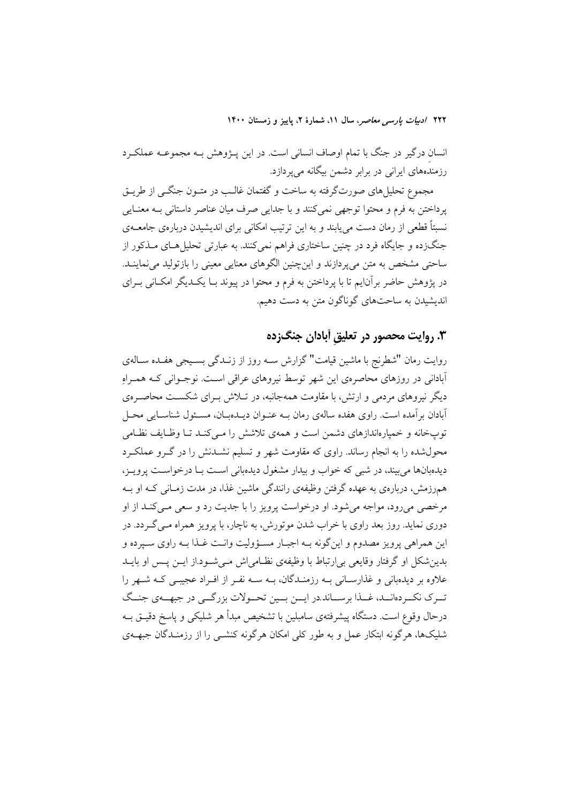انسان درگیر در جنگ با تمام اوصاف انسانی است. در این پـژوهش بـه مجموعـه عملکـرد رزمندههای ایرانی در برابر دشمن بیگانه می پردازد.

مجموع تحلیل های صورتگرفته به ساخت و گفتمان غالـب در متـون جنگــی از طریــق ير داختن به فرم و محتوا توجهي نمي كنند و با جدايي صرف ميان عناصر داستاني بـه معنـايي نسبتاً قطعی از رمان دست میbبانند و به این ترتیب امکانی برای اندیشیدن دربارهی جامعــهی جنگزده و جایگاه فرد در چنین ساختاری فراهم نمی کنند. به عبارتی تحلیل هـای مـذکور از ساحتی مشخص به متن می یردازند و اینچنین الگوهای معنایی معینی را بازتولید می نماینــد. در پژوهش حاضر برآنایم تا با پرداختن به فرم و محتوا در پیوند بـا یکـدیگر امکـانی بـرای اندیشیدن به ساحتهای گوناگون متن به دست دهیم.

# ۰۳ روایت محصور در تعلیق آبادان جنگ;ده

روایت رمان "شطرنج با ماشین قیامت" گزارش سـه روز از زنـدگی بسـیجی هفـده سـالهی آبادانی در روزهای محاصرهی این شهر توسط نیروهای عراقی است. نوجـوانی کـه همـراه دیگر نیروهای مردمی و ارتش، با مقاومت همهجانبه، در تـلاش بـرای شکسـت محاصـرهی آبادان بر آمده است. راوی هفده سالهی رمان بـه عنـوان دیـدهبـان، مسـئول شناسـایی محـل توپخانه و خمیارهاندازهای دشمن است و همهی تلاشش را مبی کنـد تـا وظـایف نظـامی محول شده را به انجام رساند. راوی که مقاومت شهر و تسلیم نشــدنش را در گــرو عملکــرد دیدهبانها می بیند، در شبی که خواب و بیدار مشغول دیدهبانی است بـا درخواسـت پرویـز، همهرزمش، دربارهی به عهده گرفتن وظیفهی رانندگی ماشین غذا، در مدت زمـانی کـه او بـه مرخصی میرود، مواجه میشود. او درخواست پرویز را با جدیت رد و سعی مـیکنـد از او دوری نماید. روز بعد راوی با خراب شدن موتورش، به ناچار، با پرویز همراه مـی گـردد. در این همراهی پرویز مصدوم و اینگونه بـه اجبـار مسـؤولیت وانـت غـذا بـه راوي سـپرده و بدین شکل او گرفتار وقایعی بی|رتباط با وظیفهی نظـامی|ش مـی شـود.از ایــن پــس او بایــد علاوه بر دیدهبانی و غذارسـانی بــه رزمنــدگان، بــه ســه نفـر از افــراد عجیبــی کــه شــهر را تـرک نکـردهانــد، غــذا برســاند.در ايــن بــين تحــولات بزرگــي در جبهــهي جنــگ درحال وقوع است. دستگاه پیشرفتهی سامبلین با تشخیص مبدأ هر شلیکی و پاسخ دقیــق بــه شلیکها، هرگونه ابتکار عمل و به طور کلی امکان هرگونه کنشــی را از رزمنــدگان جبهــهی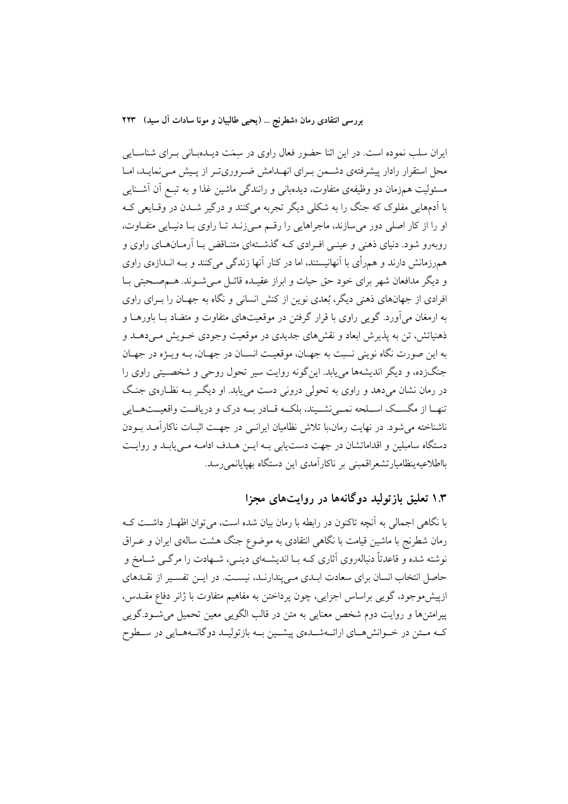ایران سلب نموده است. در این اثنا حضور فعال راوی در سِمَت دیـدهبـانی بـرای شناسـایی محل استقرار رادار پیشرفتهی دشـمن بـرای انهــدامش ضــروریتــر از پــیش مــیiمایــد، امــا مسئولیت همزمان دو وظیفهی متفاوت، دیدهبانی و رانندگی ماشین غذا و به تبـع آن آشــنایی با آدمهایی مفلوک که جنگ را به شکلی دیگر تجربه میکنند و درگیر شــدن در وقــایعی کــه او را از کار اصلی دور می سازند، ماجراهایی را رقم می زنـد تـا راوی بـا دنيـايی متفـاوت، روبهرو شود. دنیای ذهنی و عینـی افـرادی کـه گذشـتهای متنـاقض بـا آرمـانهـای راوی و هم رزمانش دارند و همرأى با آنهانيستند، اما در كنار آنها زندگى مى كنند و بــه انــدازهى راوى و دیگر مدافعان شهر برای خود حق حیات و ابراز عقیـده قائــل مــی شــوند. هــمصــحبتی بــا افرادی از جهانهای ذهنی دیگر، بُعدی نوین از کنش انسانی و نگاه به جهـان را بــرای راوی به ارمغان می آورد. گویی راوی با قرار گرفتن در موقعیتهای متفاوت و متضاد بــا باورهــا و ذهنیاتش، تن به پذیرش ابعاد و نقشهای جدیدی در موقعیت وجودی خــویش مــی،دهــد و په این صورت نگاه نوینی نسبت به جهـان، موقعیـت انسـان در جهـان، پـه ویــژه در جهـان جنگزده، و دیگر اندیشهها می یابد. این گونه روایت سپر تحول روحی و شخصـیتی راوی را در رمان نشان میدهد و راوی به تحولی درونی دست می یابد. او دیگر بـه نظـارهی جنـگ تنهـا از مگســک اســلحه نمــينشــيند، بلکــه قــادر بــه درک و دريافــت واقعيــتهــايي ناشناخته می شود. در نهایت رمان،با تلاش نظامیان ایرانسی در جهـت اثبــات ناکارآمــد بــودن دستگاه سامبلین و اقداماتشان در جهت دست یابی بـه ایــن هــدف ادامــه مــی یابــد و روایــت بااطلاعيهينظاميارتشعراقمبني بر ناكارآمدى اين دستگاه بهپايانمىرسد.

# ۱.۳ تعلیق بازتولید دوگانهها در روایتهای مجزا

با نگاهی اجمالی به آنچه تاکنون در رابطه با رمان بیان شده است، می توان اظهـار داشـت کـه رمان شطرنج با ماشین قیامت با نگاهی انتقادی به موضوع جنگ هشت سالهی ایران و عــراق نوشته شده و قاعدتاً دنبالهروی آثاری کـه بــا اندیشــهای دینــی، شــهادت را مرگــی شــامخ و حاصل انتخاب انسان برای سعادت ابلدی ملی پندارنـد، نیسـت. در ایــن تفسـير از نقـلـهای ازپیش موجود، گویی براساس اجزایی، چون پرداختن به مفاهیم متفاوت با ژانر دفاع مقــدس، پیرامتنها و روایت دوم شخص معنایی به متن در قالب الگویی معین تحمیل می شود.گویی کـه مــتن در خــوانش هــاي ارائــهشــدهي پيشــين بــه بازتوليــد دوگانــههــايي در ســطوح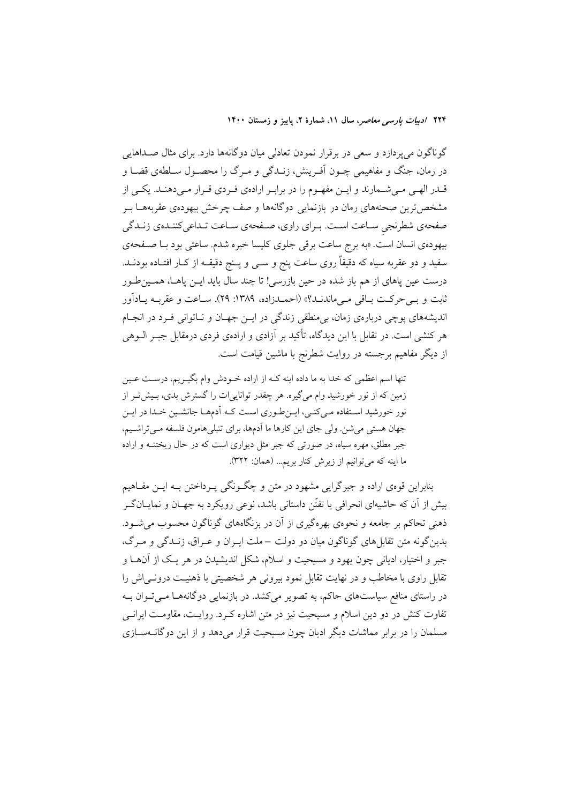گوناگون میپردازد و سعی در برقرار نمودن تعادلی میان دوگانهها دارد. برای مثال صـداهایی در رمان، جنگ و مفاهیمی چــون آفــرینش، زنــدگی و مــرگ را محصــول ســلطهی قضــا و قــدر الهـي مــيشــمارند و ايــن مفهــوم را در برابـر ارادهي فـردي قــرار مــيدهنــد. يكــي از مشخص ترین صحنههای رمان در بازنمایی دوگانهها و صف چرخش بیهودهی عقربههــا بــر صفحهی شطرنجی سـاعت اسـت. بـرای راوی، صـفحهی سـاعت تـداعیکننـدهی زنـدگی بیهودهی انسان است. «به برج ساعت برقی جلوی کلیسا خیره شدم. ساعتی بود بـا صـفحهی سفید و دو عقربه سیاه که دقیقاً روی ساعت پنج و ســی و پــنج دقیقــه از کــار افتــاده بودنــد. درست عین یاهای از هم باز شده در حین بازرسی! تا چند سال باید ایــن یاهــا، همــینطـور ثابت و بے حرکت باقی مے ماندنـد؟» (احمـدزاده، ١٣٨٩: ٢٩). سـاعت و عقربـه يـادآور اندیشههای پوچی دربارهی زمان، بی منطقی زندگی در ایــن جهــان و نــاتوانی فــرد در انجــام هر کنشی است. در تقابل با این دیدگاه، تأکید بر آزادی و ارادهی فردی درمقابل جبـر الــوهی از دیگر مفاهیم برجسته در روایت شطرنج با ماشین قیامت است.

تنها اسم اعظمی که خدا به ما داده اینه کـه از اراده خــودش وام بگیــریم، درسـت عــین زمین که از نور خورشید وام میگیره. هر چقدر تواناییات را گسترش بدی، بـیش تـر از نور خورشید استفاده می کنی، ایـن طـوری اسـت کـه آدمهـا جانشـین خـدا در ایـن جهان هستی میشن. ولی جای این کارها ما اَدمها، برای تنبلیهامون فلسفه مـیتراشـیم، جبر مطلق، مهره سیاه، در صورتی که جبر مثل دیواری است که در حال ریختنــه و اراده ما اینه که میتوانیم از زیرش کنار بریم... (همان: ۳۲۲).

بنابراین قومی اراده و جبرگرایی مشهود در متن و چگونگی پـرداختن بـه ایــن مفــاهیم بیش از آن که حاشیهای انحرافی یا تفنّن داستانی باشد، نوعی رویکرد به جهـان و نمایــانگــر ذهنی تحاکم بر جامعه و نحوهی بهرهگیری از آن در بزنگاههای گوناگون محسوب می شــود. بدین گونه متن تقابل های گوناگون میان دو دولت –ملت ایـران و عـراق، زنــدگی و مـرگ، جبر و اختیار، ادیانی چون یهود و مسیحیت و اسلام، شکل اندیشیدن در هر یک از آنهـا و تقابل راوی با مخاطب و در نهایت تقابل نمود بیرونی هر شخصیتی با ذهنیت درونـیاش را در راستای منافع سیاستهای حاکم، به تصویر میکشد. در بازنمایی دوگانههـا مـیتوان بـه تفاوت کنش در دو دین اسلام و مسیحیت نیز در متن اشاره کـرد. روایـت، مقاومـت ایرانــی مسلمان را در برابر مماشات دیگر ادیان چون مسیحیت قرار می دهد و از این دوگانــهســازی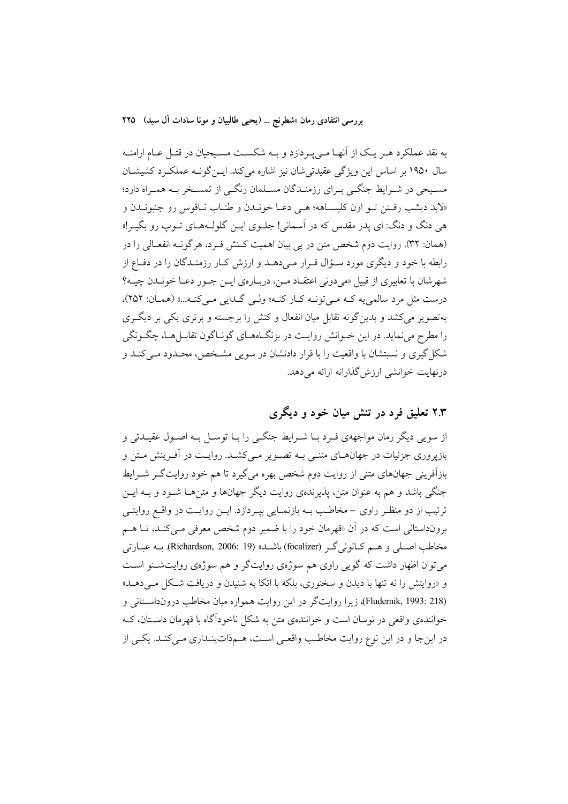بررسي انتقادي رمان «شطرنج … (يحيى طالبيان و مونا سادات آل سيد) ٢٢٥

به نقد عملکرد هـر يـک از آنهـا مـىپـردازد و بـه شکسـت مسـيحيان در قتـل عـام ارامنـه سال ۱۹۵۰ بر اساس این ویژگی عقیدتی شان نیز اشاره می کند. ایــن گونــه عملکــرد کشیشــان مسیحی در شـرایط جنگـی بـرای رزمنـدگان مسـلمان رنگـی از تمسـخر بـه همـراه دارد؛ «لابد ديشب رفتن تـو اون كليسـاهه؛ هـي دعـا خونـدن و طنـاب نـاقوس رو جنبونـدن و هي دنگ و دنگ: اي پدر مقدس كه در آسماني! جلـوي ايـن گلولـههـاي تـوپ رو بگيـر!» (همان: ٣٢). روايت دوم شخص متن در پي بيان اهميت كـنش فـرد، هرگونــه انفعــالي را در رابطه با خود و دیگری مورد سـؤال قـرار مـیدهـد و ارزش كـار رزمنـدگان را در دفـاع از شهرشان با تعابیری از قبیل «می دونی اعتقــاد مــن، دربــارهی ایــن جــور دعــا خونــدن چیــه؟ درست مثل مرد سالمي يه كـه مـى تونـه كـار كنـه؛ ولـى گـدايى مـى كنـه...» (همـان: ٢٥٢)، بهتصویر می کشد و بدین گونه تقابل میان انفعال و کنش را برجسته و برتری یکی بر دیگ ری را مطرح می نماید. در این خــوانش روایــت در بزنگــاهــای گونــاگون تقابــلهــا، چگــونگـی شکل گیری و نسبتشان با واقعیت را با قرار دادنشان در سویی مشـخص، محـدود مـی کنـد و درنهایت خوانشی ارزش گذارانه ارائه می دهد.

# ۲.۳ تعلیق فرد در تنش میان خود و دیگری

از سویی دیگر رمان مواجههی فـرد بـا شـرایط جنگـی را بـا توسـل بـه اصـول عقیـدتی و بازیروری جزئیات در جهانهــای متنــی بــه تصــویر مــیکشــد. روایــت در آفــرینش مــتن و بازآفرینی جهانهای متنی از روایت دوم شخص بهره میگیرد تا هم خود روایتگـر شــرایط جنگی باشد و هم به عنوان متن، پذیرندهی روایت دیگر جهانها و متن هـا شــود و بــه ایــن ترتیب از دو منظـر راوی –مخاطـب بــه بازنمــایی بپــردازد. ایــن روایــت در واقــع روایتــی برونداستانی است که در آن «قهرمان خود را با ضمیر دوم شخص معرفی مـیکنـد، تــا هــم مخاطب اصلی و هم کـانونیگـر (focalizer) باشـد» (Richardson, 2006: 19) بــه عبـارتی می توان اظهار داشت که گویی راوی هم سوژهی روایتگر و هم سوژهی روایتشنو است و «روایتش را نه تنها با دیدن و سخنوری، بلکه با اتکا به شنیدن و دریافت شکل مـیدهـد» (Fludernik, 1993: 218)، زیرا روایتگر در این روایت همواره میان مخاطب درونداستانی و خوانندهی واقعی در نوسان است و خوانندهی متن به شکل ناخوداًگاه با قهرمان داسـتان، کـه در این جا و در این نوع روایت مخاطب واقعی است، هـمذاتپنـداری مـی کنـد. یکـی از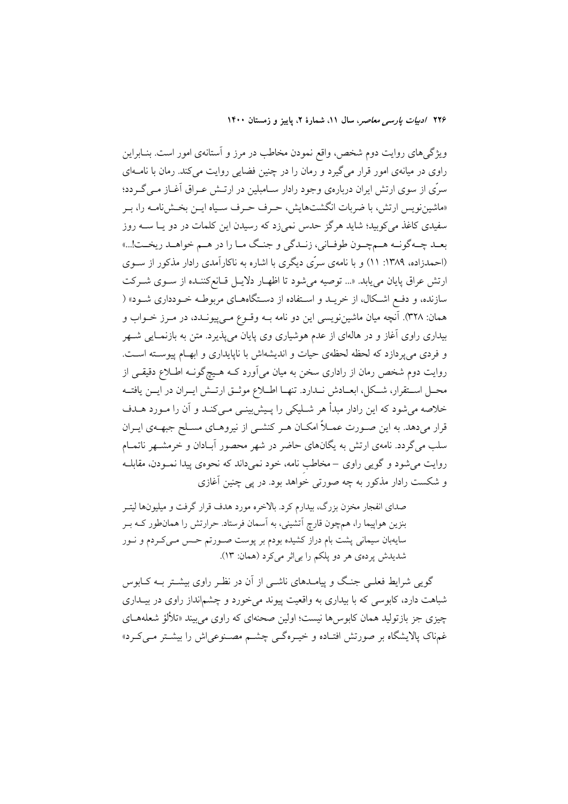ویژگیهای روایت دوم شخص، واقع نمودن مخاطب در مرز و آستانهی امور است. بنـابراین راوی در میانهی امور قرار می گیرد و رمان را در چنین فضایی روایت می کند. رمان با نامـهای سرّی از سوی ارتش ایران دربارهی وجود رادار سـامبلین در ارتـش عـراق آغــاز مــی گــردد؛ «ماشیننویس ارتش، با ضربات انگشتهایش، حـرف حـرف سـیاه ایـن بخـش(نامـه را، بـر سفیدی کاغذ می کوبید؛ شاید هرگز حدس نمیزد که رسیدن این کلمات در دو یـا ســه روز بعـد چـهگونـه هـمچـون طوفـاني، زنـدگي و جنـگ مـا را در هـم خواهـد ريخـت!...» (احمدزاده، ۱۳۸۹: ۱۱) و با نامهی سرّی دیگری با اشاره به ناکارآمدی رادار مذکور از سـوی ارتش عراق پایان می یابد. «... توصیه می شود تا اظهـار دلایـل قـانع کننـده از سـوی شـرکت سازنده، و دفع اشکال، از خریــد و اســتفاده از دسـتگاههــای مربوطــه خــودداری شــود» ( همان: ٣٢٨). آنچه ميان ماشينزويسي اين دو نامه بــه وقــوع مــي(پيونــدد، در مــرز خــواب و بیداری راوی آغاز و در هالهای از عدم هوشیاری وی پایان میپذیرد. متن به بازنمـایی شــهر و فردی می پردازد که لحظه لحظهی حیات و اندیشهاش با ناپایداری و ابهـام پیوسـته اسـت. روایت دوم شخص رمان از راداری سخن به میان میآورد کـه هـیچگونـه اطـلاع دقیقـی از محـل اسـتقرار، شـكل، ابعــادش نــدارد. تنهــا اطــلاع موثــق ارتــش ايــران در ايــن يافتــه خلاصه می شود که این رادار مبدأ هر شـلیکی را پـیش بینـی مـی کنـد و آن را مـورد هـدف قرار میدهد. به این صـورت عمـلاً امکـان هـر کنشـی از نیروهـای مسـلح جبهـهی ایــران سلب می گردد. نامهی ارتش به یگانهای حاضر در شهر محصور آبـادان و خرمشــهر ناتمــام روایت می شود و گویبی راوی –مخاطب نامه، خود نمیداند که نحوهی پیدا نمـودن، مقابلـه و شکست رادار مذکور به چه صورتی خواهد بود. در پی چنین آغازی

صدای انفجار مخزن بزرگ، بیدارم کرد. بالاخره مورد هدف قرار گرفت و میلیونها لیتــر بنزین هواپیما را، همچون قارچ آتشینی، به آسمان فرستاد. حرارتش را همانطور کـه بـر سایهبان سیمانی پشت بام دراز کشیده بودم بر پوست صـورتم حـس مـیکـردم و نــور شدیدش پردهی هر دو پلکم را بی اثر می کرد (همان: ١٣).

گویی شرایط فعلـی جنـگ و پیامـدهای ناشـی از آن در نظـر راوی بیشـتر بــه کــابوس شباهت دارد، کابوسی که با بیداری به واقعیت پیوند میخورد و چشمانداز راوی در بیـداری چیزی جز بازتولید همان کابوس ها نیست؛ اولین صحنهای که راوی می بیند «تلألؤ شعلههـای غمناک پالایشگاه بر صورتش افتـاده و خیـرهگـی چشـم مصـنوعیاش را بیشـتر مـیکـرد»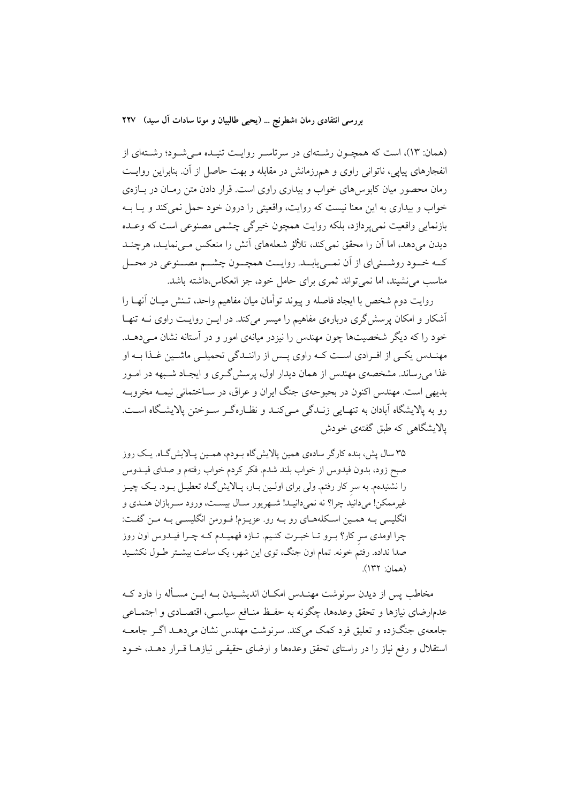(همان: ١٣)، است كه همچـون رشـتهاى در سرتاسـر روايـت تنيـده مـى شـود؛ رشـتهاى از انفجارهای پیاپی، ناتوانی راوی و همرزمانش در مقابله و بهت حاصل از آن. بنابراین روایـت رمان محصور میان کابوس های خواب و بیداری راوی است. قرار دادن متن رمـان در بـازهی خواب و بیداری به این معنا نیست که روایت، واقعیتی را درون خود حمل نمی کند و یـا بـه بازنمایی واقعیت نمی پردازد، بلکه روایت همچون خیرگی چشمی مصنوعی است که وعـده دیدن میدهد، اما آن را محقق نمی کند، تلألؤ شعلههای آتش را منعکس مـی نمایـد، هرچنــد كــه خــود روشــني|ي از اّن نمــييابــد. روايــت همچــون چشــم مصــنوعي در محــل مناسب می نشیند، اما نمی تواند ثمری برای حامل خود، جز انعکاس،داشته باشد.

روايت دوم شخص با ايجاد فاصله و پيوند توأمان ميان مفاهيم واحد، تـنش ميـان آنهـا را آشکار و امکان پرسش گری دربارهی مفاهیم را میسر می کند. در ایــن روایــت راوی نــه تنهــا خود را که دیگر شخصیتها چون مهندس را نیزدر میانهی امور و در آستانه نشان مـیدهــد. مهنــدس یکــی از افــرادی اســت کــه راوی پــس از راننــدگی تحمیلــی ماشــین غــذا بــه او غذا می رساند. مشخصهی مهندس از همان دیدار اول، پرسش گری و ایجـاد شـبهه در امـور بديهي است. مهندس اکنون در بحبوحهي جنگ ايران و عراق، در سـاختماني نيمــه مخروبــه رو به پالایشگاه آبادان به تنهـایی زنـدگی مـیکنـد و نظـارهگـر سـوختن پالایشـگاه اسـت. یالایشگاهی که طبق گفتهی خودش

۳۵ سال پش، بنده کارگر سادهی همین پالایش گاه بـودم، همـین پـالایش گـاه. یـک روز صبح زود، بدون فيدوس از خواب بلند شدم. فكر كردم خواب رفتهم و صداي فيــدوس را نشنیدهم. به سر کار رفتم. ولی برای اولـین بـار، پـالایشگـاه تعطیـل بـود. یـک چیـز غیرممکن! میدانید چرا؟ نه نمیدانیـد! شـهریور سـال بیسـت، ورود سـربازان هنـدی و انگلیسی بـه همـین اسـکلههـای رو بـه رو. عزیـزم! فـورمن انگلیســی بـه مـن گفـت: چرا اومدی سر کار؟ بـرو تـا خبـرت کنـیم. تـازه فهمیـدم کـه چـرا فیـدوس اون روز صدا نداده. رفتم خونه. تمام اون جنگ، توی این شهر، یک ساعت بیشـتر طـول نکشـید  $(177 \cdot i)$ 

مخاطب پس از دیدن سرنوشت مهنـدس امکـان اندیشـیدن بــه ایــن مســأله را دارد کــه عدمارضای نیازها و تحقق وعدهها، چگونه به حفـظ منــافع سیاســی، اقتصــادی و اجتمــاعی جامعهی جنگزده و تعلیق فرد کمک میکند. سرنوشت مهندس نشان میدهـد اگـر جامعـه استقلال و رفع نیاز را در راستای تحقق وعدهها و ارضای حقیقـی نیازهـا قـرار دهـد، خـود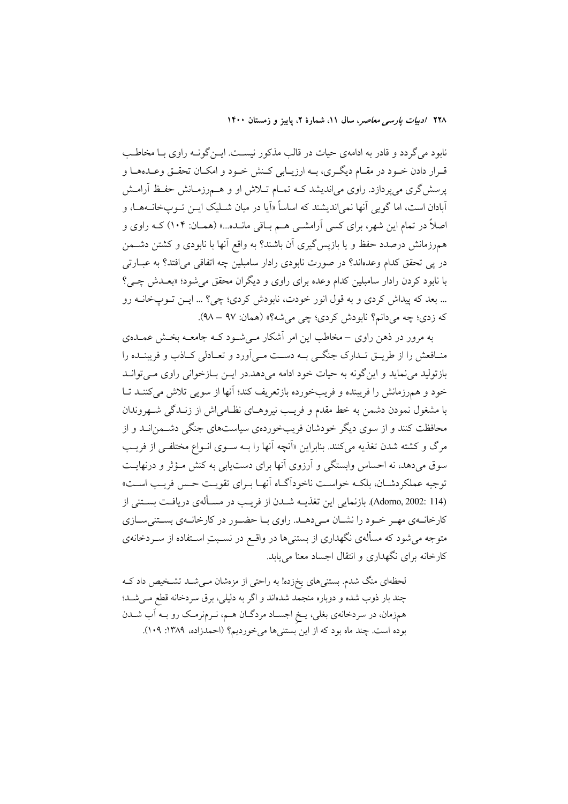نابود می گردد و قادر به ادامهی حیات در قالب مذکور نیست. ایــن گونــه راوی بــا مخاطــب قـرار دادن خـود در مقـام ديگـري، بــه ارزيــابي كـنش خـود و امكـان تحقـق وعــدههـا و پرسش گری میپردازد. راوی می|ندیشد کـه تمـام تــلاش او و هــم,رزمــانش حفـظ آرامــش اَبادان است، اما گویی اَنها نمی(ندیشند که اساساً «اَیا در میان شــلیک ایــن تــوپخانــههــا، و اصلاً در تمام این شهر، برای کسی آرامشــی هــم بــاقی مانــده...» (همــان: ۱۰۴) کــه راوی و همهرزمانش درصدد حفظ و یا بازپس گیری آن باشند؟ به واقع آنها با نابودی و کشتن دشــمن در پی تحقق کدام وعدهاند؟ در صورت نابودی رادار سامبلین چه اتفاقی میافتد؟ به عبــارتی با نابود کردن رادار سامبلین کدام وعده برای راوی و دیگران محقق می شود؛ «بعـدش چـی؟ ... بعد که پیداش کردی و به قول انور خودت، نابودش کردی؛ چی؟ ... ایــن تــوپخانــه رو که زدي؛ چه مي دانم؟ نابو دش کردي؛ چي مي شه؟» (همان: ٩٧ – ٩٨).

به مرور در ذهن راوی –مخاطب این امر آشکار مـی شـود کــه جامعــه بخــش عمــدهی منـافعش را از طريــق تــدارک جنگــي بــه دســت مــي آورد و تعــادلي کــاذب و فريبنــده را بازتولید می نماید و این گونه به حیات خود ادامه می دهد.در ایــن بــازخوانی راوی مــیتوانــد خود و هم رزمانش را فریبنده و فریبخورده بازتعریف کند؛ آنها از سویی تلاش میکننـد تـا با مشغول نمودن دشمن به خط مقدم و فریب نیروهـای نظـامیاش از زنـدگی شـهروندان محافظت کنند و از سوی دیگر خودشان فریبخوردهی سیاستهای جنگی دشـمن|نــد و از مرگ و کشته شدن تغذیه میکنند. بنابراین «اَنچه اَنها را بـه سـوی انـواع مختلفـی از فریـب سوق میدهد، نه احساس وابستگی و آرزوی آنها برای دستیابی به کنش مـؤثر و درنهایـت توجيه عملكردشـان، بلكـه خواسـت ناخوداًگـاه أنهـا بـراي تقويـت حـس فريـب اسـت» (Adorno, 2002: 114). بازنمایی این تغذیـه شـدن از فریـب در مسـألهى دریافـت بسـتنى از کارخانـهي مهـر خـود را نشـان مـي(هـد. راوي بـا حضـور در كارخانـهي بسـتنيسـازي متوجه میشود که مسألهی نگهداری از بستنیها در واقـع در نسـبتِ اسـتفاده از سـردخانهی کارخانه برای نگهداری و انتقال اجساد معنا می یابد.

لحظهای منگ شدم. بستنیهای یخزده! به راحتی از مزمشان مـیشــد تشــخیص داد کــه چند بار ذوب شده و دوباره منجمد شدهاند و اگر به دلیلی، برق سردخانه قطع می شد؛ همزمان، در سردخانهي بغلي، يـخ اجسـاد مردگـان هـم، نـرمنرمـک رو بـه أب شـدن بوده است. چند ماه بود که از این بستنی ها می خوردیم؟ (احمدزاده، ١٣٨٩: ١٠٩).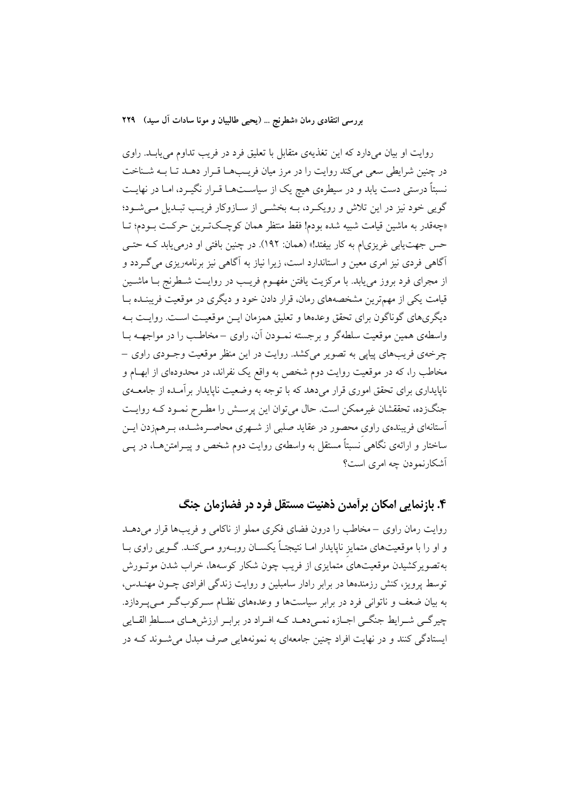روایت او بیان میدارد که این تغذیهی متقابل با تعلیق فرد در فریب تداوم می یابـد. راوی در چنین شرایطی سعی میکند روایت را در مرز میان فریبها قـرار دهـد تـا بـه شـناخت نسبتاً درستی دست یابد و در سیطرهی هیچ یک از سیاسـتهـا قــرار نگیــرد، امـا در نهایــت گویی خود نیز در این تلاش و رویک رد، بـه بخشـی از سـازوکار فریـب تبـدیل مـی شـود؛ «چەقدر بە ماشين قيامت شبيه شده بودم! فقط منتظر همان كوچكترين حركت بـودم؛ تــا حس جهت یابی غریزی|م به کار بیفتد!» (همان: ۱۹۲). در چنین بافتی او درمی یابد کـه حتـی آگاهی فردی نیز امری معین و استاندارد است، زیرا نیاز به آگاهی نیز برنامهریزی می گـردد و از مجرای فرد بروز می یابد. با مرکزیت یافتن مفهـوم فریـب در روایـت شـطرنج بــا ماشــین قیامت یکی از مهمترین مشخصههای رمان، قرار دادن خود و دیگری در موقعیت فریبنـده بــا دیگریهای گوناگون برای تحقق وعدهها و تعلیق همزمان ایــن موقعیـت اســت. روایــت بــه واسطهی همین موقعیت سلطهگر و برجسته نمـودن آن، راوی –مخاطـب را در مواجهــه بــا چرخهي فريبهاي پيايي به تصوير مي كشد. روايت در اين منظر موقعيت وجـودي راوي – مخاطب را، که در موقعیت روایت دوم شخص به واقع یک نفراند، در محدودمای از ابهـام و ناپایداری برای تحقق اموری قرار میدهد که با توجه به وضعیت ناپایدار برآمـده از جامعــهی جنگزده، تحققشان غیرممکن است. حال میتوان این پرسش را مطـرح نمـود کـه روایـت آستانهای فریبندهی راوی محصور در عقاید صلبی از شـهری محاصـرهشـده، بـرهمزدن ایــن ساختار و ارائهی نگاهی نسبتاً مستقل به واسطهی روایت دوم شخص و پیـرامتن۵ــا، در یــی آشکارنمودن چه امری است؟

### ۴. بازنمایی امکان برآمدن ذهنیت مستقل فرد در فضازمان جنگ

روایت رمان راوی –مخاطب را درون فضای فکری مملو از ناکامی و فریبها قرار میدهـد و او را با موقعیتهای متمایز ناپایدار امـا نتیجتـاً یکسـان روبـهرو مـیکنـد. گـویی راوی بـا بهتصویرکشیدن موقعیتهای متمایزی از فریب چون شکار کوسهها، خراب شدن موتــورش توسط پرویز، کنش رزمندهها در برابر رادار سامبلین و روایت زندگی افرادی چـون مهنــدس، به بیان ضعف و ناتوانی فرد در برابر سیاستها و وعدههای نظـام سـرکوبگـر مـی5بـردازد. چیرگی شـرایط جنگـی اجـازه نمـیدهـد کـه افـراد در برابـر ارزشهـای مسـلطِ القـایی ایستادگی کنند و در نهایت افراد چنین جامعهای به نمونههایی صرف مبدل می شـوند کـه در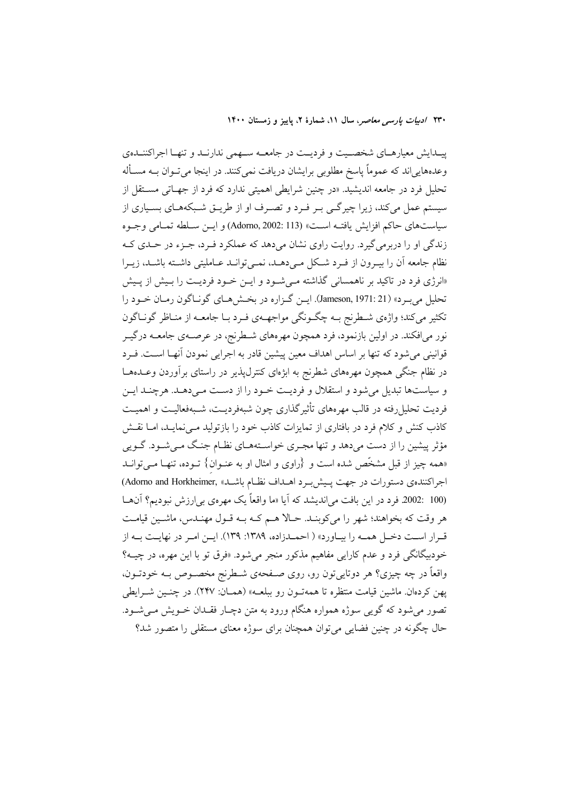پیـدايش معيارهـاي شخصـيت و فرديـت در جامعــه سـهمي ندارنـد و تنهـا اجراكننـدهي وعدههايي اند كه عموماً ياسخ مطلوبي برايشان دريافت نمي كنند. در اينجا مي تــوان بــه مســأله تحلیل فرد در جامعه اندیشید. «در چنین شرایطی اهمیتی ندارد که فرد از جهـاتی مسـتقل از سیستم عمل میکند، زیرا چیرگـی بـر فـرد و تصـرف او از طریـق شـبکههـای بسـیاری از سياستهاي حاكم افزايش يافتـه اسـت» (Adorno, 2002: 113) و ايـن سـلطه تمـامي وجـوه زندگی او را دربرمی گیرد. روایت راوی نشان میدهد که عملکرد فـرد، جـزء در حـدی کـه نظام جامعه آن را بیـرون از فـرد شـكل مـی۵هـد، نمـیتوانـد عـاملیتی داشـته باشـد، زیـرا «انرژی فرد در تاکید بر ناهمسانی گذاشته مـی شـود و ایــن خـود فردیــت را بـیش از پـیش تحليل مي بـرد» (Jameson, 1971: 21). ايـن گـزاره در بخـش هـاي گونـاگون رمـان خـود را تکثیر میکند؛ واژهی شطرنج بـه چگـونگی مواجهـهی فـرد بـا جامعـه از منـاظر گونـاگون نور میافکند. در اولین بازنمود، فرد همچون مهرههای شـطرنج، در عرصـهی جامعــه درگیــر قوانینی می شود که تنها بر اساس اهداف معین پیشین قادر به اجرایی نمودن آنهـا اسـت. فـرد در نظام جنگی همچون مهرههای شطرنج به ابژهای کنترل پذیر در راستای برآوردن وعــدهـا و سیاستها تبدیل می شود و استقلال و فردیت خـود را از دسـت مـی دهـد. هرچنـد ایـن فرديت تحليل رفته در قالب مهرههاي تأثير گذاري چون شبهفرديـت، شـبهفعاليـت و اهميـت کاذب کنش و کلام فرد در بافتاری از تمایزات کاذب خود را بازتولید مــی نمایــد، امــا نقــش مؤثر پیشین را از دست می دهد و تنها مجـری خواسـتههـای نظـام جنـگ مـی شـود. گـویی «همه چیز از قبل مشخّص شده است و {راوی و امثال او به عنـوان} تـوده، تنهـا مـیتوانـد اجراکنندهی دستورات در جهت پیش برد اهـداف نظـام باشـد» ,Adorno and Horkheimer (100 :2002 فرد در این بافت می اندیشد که آیا «ما واقعاً یک مهرهی بی ارزش نبودیم؟ آن ها هر وقت كه بخواهند؛ شهر را مي كوينـد. حـالا هـم كـه بـه قـول مهنـدس، ماشـين قيامـت قـرار اسـت دخـل همـه را بيـاورد» ( احمـدزاده، ١٣٨٩: ١٣٩). ايــن امـر در نهايـت بـه از خودبیگانگی فرد و عدم کارایی مفاهیم مذکور منجر می شود. «فرق تو با این مهره، در چیــه؟ واقعاً در چه چیزی؟ هر دوتاییتون رو، روی صـفحهی شـطرنج مخصـوص بــه خودتــون، یهن کردهان ماشین قیامت منتظره تا همهتـون رو ببلعـه» (همـان: ۲۴۷). در چنـین شــرایطی تصور مي شود كه گويي سوژه همواره هنگام ورود به متن دچـار فقـدان خــويش مــي شــود. حال چگونه در چنین فضایی می توان همچنان برای سوژه معنای مستقلی را متصور شد؟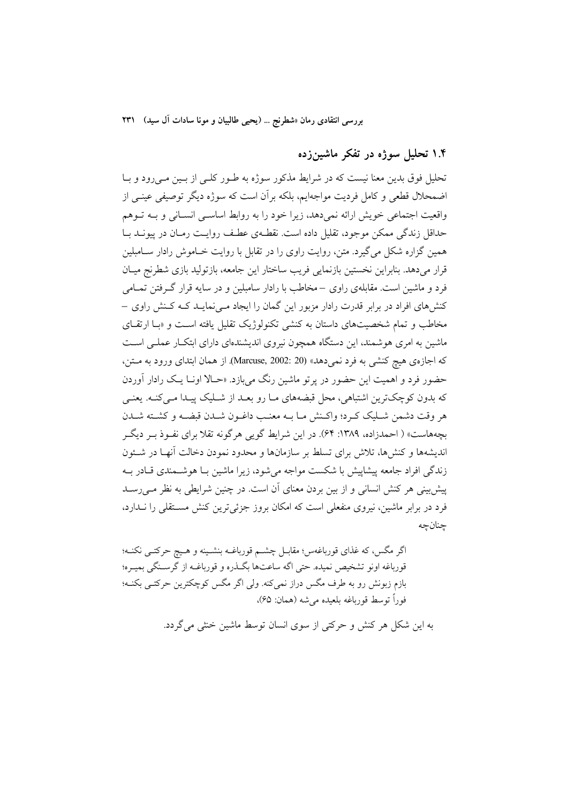## ۱.۴ تحلیل سوژه در تفکر ماشینزده

تحلیل فوق بدین معنا نیست که در شرایط مذکور سوژه به طـور کلـی از بـین مـیرود و بـا اضمحلال قطعی و کامل فردیت مواجهایم، بلکه بر اَن است که سوژه دیگر توصیفی عینــی از واقعیت اجتماعی خویش ارائه نمی دهد، زیرا خود را به روابط اساسی انسـانی و بـه تـوهم حداقل زندگی ممکن موجود، تقلیل داده است. نقطـهی عطـف روایـت رمـان در پیونــد بــا همین گزاره شکل می گیرد. متن، روایت راوی را در تقابل با روایت خـاموش رادار ســامبلین قرار میدهد. بنابراین نخستین بازنمایی فریب ساختار این جامعه، بازتولید بازی شطرنج میـان فرد و ماشین است. مقابلهی راوی –مخاطب با رادار سامبلین و در سایه قرار گـرفتن تمــامی کنشهای افراد در برابر قدرت رادار مزبور این گمان را ایجاد مـیiمایـد کـه کـنش راوی – مخاطب و تمام شخصیتهای داستان به کنشی تکنولوژیک تقلیل یافته است و «با ارتقای ماشین به امری هوشمند، این دستگاه همچون نیروی اندیشندهای دارای ابتکـار عملـی اسـت كه اجازهي هيچ كنشي به فرد نميدهد» (2002: 2002 .Marcuse, 2002). از همان ابتداي ورود به مــتن، حضور فرد و اهمیت این حضور در یرتو ماشین رنگ میبازد. «حـالا اونــا یــک رادار أوردن که بدون کوچکترین اشتباهی، محل قبضههای مـا رو بعـد از شـلیک پیـدا مـی کنـه. یعنـی هر وقت دشمن شـليک كـرد؛ واكـنش مـا بــه معنـب داغـون شــدن قبضــه و كشــته شــدن بچههاست» ( احمدزاده، ۱۳۸۹: ۶۴). در این شرایط گویی هرگونه تقلا برای نفـوذ بـر دیگـر اندیشهها و کنشها، تلاش برای تسلط بر سازمانها و محدود نمودن دخالت آنهـا در شــئون زندگی افراد جامعه پیشاپیش با شکست مواجه می شود، زیرا ماشین بـا هوشــمندی قــادر بــه پیش پینی هر کنش انسانی و از بین بردن معنای آن است. در چنین شرایطی به نظر مـی(سـد فرد در برابر ماشین، نیروی منفعلی است که امکان بروز جزئی ترین کنش مســتقلی را نــدارد، جنانجه

اگر مگس، که غذای قورباغهس؛ مقابـل چشــم قورباغــه بنشــینه و هــیچ حرکتــی نکنــه؛ قورباغه اونو تشخيص نميده. حتى اگه ساعتها بگـذره و قورباغـه از گرسـنگي بميـره؛ بازم زبونش رو به طرف مگس دراز نمی کنه. ولی اگر مگس کوچکترین حرکتبی بکنـه؛ فوراً توسط قورباغه بلعيده مي شه (همان: ۶۵)،

به این شکل هر کنش و حرکتی از سوی انسان توسط ماشین خنثی می گردد.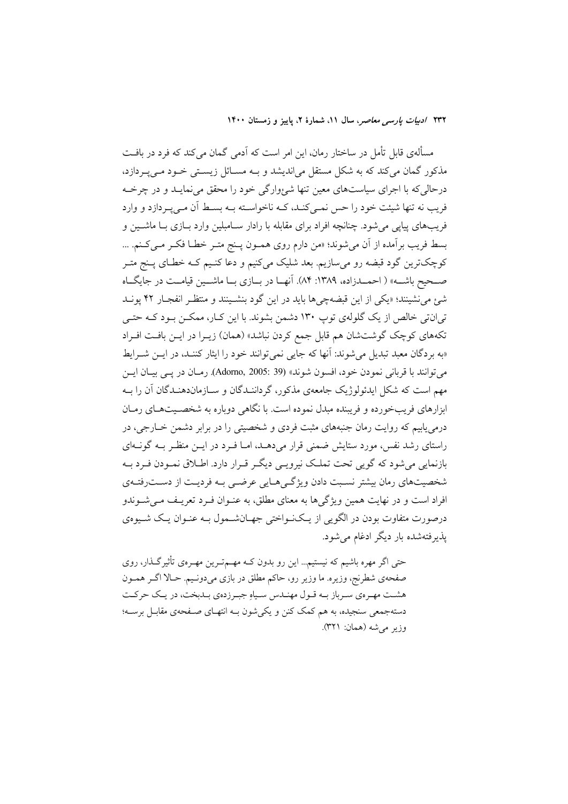مسألهى قابل تأمل در ساختار رمان، اين امر است كه آدمى گمان مى كند كه فرد در بافـت مذکور گمان میکند که به شکل مستقل میاندیشد و بـه مسـائل زیسـتی خـود مـی پـردازد، درحالی که با اجرای سیاستهای معین تنها شئوارگی خود را محقق می نمایـد و در چرخــه فريب نه تنها شيئت خود را حس نمـي كنـد، كــه ناخواســته بــه بســط أن مــي يــر دازد و وارد فريبهاي پيايي مي شود. چنانچه افراد براي مقابله با رادار ســامبلين وارد بــازي بــا ماشــين و بسط فريب برآمده از آن مي شوند؛ «من دارم روى همـون پـنج متـر خطـا فكـر مـيكـنم. ... کوچکترین گود قبضه رو میسازیم. بعد شلیک میکنیم و دعا کنـیم کـه خطـای پـنج متـر صـحیح باشــه» ( احمــدزاده، ۱۳۸۹: ۸۴). آنهــا در بــازي بــا ماشــين قيامــت در جايگــاه شهِ مي نشينند؛ «يكي از اين قبضهچي ها بايد در اين گود بنشـينند و منتظـر انفجـار ۴۲ پونــد تی انتی خالص از یک گلولهی توپ ۱۳۰ دشمن بشوند. با این کبار، ممکــن بـود کـه حتـی تکههای کوچک گوشتشان هم قابل جمع کردن نباشد» (همان) زیـرا در ایـن بافـت افـراد «به بردگان معبد تبدیل می شوند: آنها که جایی نمی توانند خود را ایثار کننـد، در ایــن شــرایط مي توانند با قرباني نمو دن خو د، افسون شوند» (39 :2005 ,Adorno, 2005). رمـان در يــي بيــان ايــن مهم است که شکل ایدئولوژیک جامعهی مذکور، گرداننـدگان و سـازماندهنـدگان آن را بـه ابزارهای فریبخورده و فریبنده مبدل نموده است. با نگاهی دوباره به شخصـیتهـای رمـان درمی پابیم که روایت رمان جنبههای مثبت فردی و شخصیتی را در برابر دشمن خــارجی، در راستای رشد نفس، مورد ستایش ضمنی قرار می دهـد، امـا فـرد در ایــن منظـر بــه گونــهای بازنمایی میشود که گویی تحت تملک نیرویـی دیگـر قـرار دارد. اطـلاق نمـودن فـرد بـه شخصیتهای رمان بیشتر نسبت دادن ویژگی هـایی عرضـی بـه فردیـت از دسـترفتـهی افراد است و در نهایت همین ویژگی ها به معنای مطلق، به عنـوان فـرد تعریـف مـی شـوندو درصورت متفاوت بودن در الگویی از یـکنـواختی جهـانشــمول بــه عنـوان یـک شــیوهی یذیرفتهشده بار دیگر ادغام می شود.

حتی اگر مهره باشیم که نیستیم… این رو بدون کــه مهــمتــرین مهــرهی تأثیرگــذار، روی صفحهي شطرنج، وزيره. ما وزير رو، حاكم مطلق در بازي مي دونيم. حـالا اگـر همـون هشت مهـرهي سـرباز بـه قـول مهنـدس سـياهِ جبـرزدهي بـدبخت، در يـك حركـت دستهجمعی سنجیده، به هم کمک کنن و یکی شون بـه انتهـای صـفحهی مقابـل برسـه؛ وزير مي شه (همان: ٣٢١).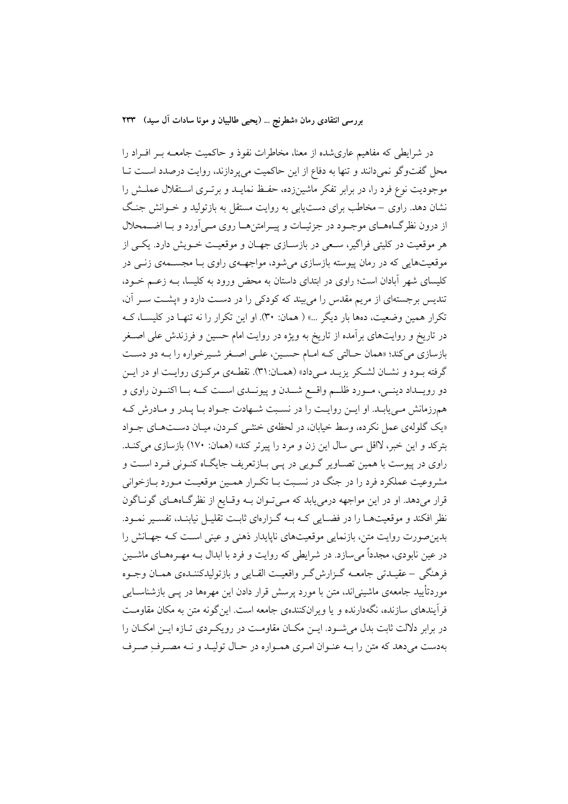در شرایطی که مفاهیم عاریشده از معنا، مخاطرات نفوذ و حاکمیت جامعــه بــر افــراد را محل گفتوگو نمی دانند و تنها به دفاع از این حاکمیت می پر دازند، روایت درصدد است تــا موجودیت نوع فرد را، در برابر تفکر ماشینزده، حفـظ نمایـد و برتـری اسـتقلال عملـش را نشان دهد. راوي – مخاطب براي دست يابي به روايت مستقل به بازتوليد و خــوانش جنـگ از درون نظر گــاههــاي موجــود در جزئيــات و پيــرامتنهــا روي مــي آورد و بــا اضــمحلال هر موقعیت در کلیتی فراگیر، سـعی در بازسـازی جهـان و موقعیـت خــویش دارد. یکــی از موقعیتهایی که در رمان پیوسته بازسازی میشود، مواجهـهی راوی بـا مجســمهی زنــی در کلیسای شهر آبادان است؛ راوی در ابتدای داستان به محض ورود به کلیسا، بــه زعــم خــود، تندیس برجستهای از مریم مقدس را می بیند که کودک<sub>ی</sub> را در دست دارد و «پشت سـر آن، تکرار همین وضعیت، دهها بار دیگر …» ( همان: ۳۰). او این تکرار را نه تنهـا در کلیســا، کــه در تاریخ و روایتهای برآمده از تاریخ به ویژه در روایت امام حسین و فرزندش علی اصــغر بازسازي مي كند؛ «همان حـالتي كـه امـام حسـين، علـي اصـغر شـيرخواره را بـه دو دسـت گرفته بـود و نشـان لشـكر يزيـد مـىداد» (همـان:٣١). نقطـهى مركـزى روايـت او در ايـن دو رويــداد دينــي، مــورد ظلــم واقــع شــدن و پيونــدي اســت كــه بــا اكنــون راوي و همرزمانش مـی یابـد. او ایــن روایــت را در نسـبت شــهادت جــواد بـا یــدر و مــادرش كــه «یک گلولهی عمل نکرده، وسط خیابان، در لحظهی خنثـبی کـردن، میـان دســتهـای جـواد بترکد و این خبر، لااقل سی سال این زن و مرد را پیرتر کند» (همان: ۱۷۰) بازسازی میکند. راوي در پيوست با همين تصـاوير گــويي در پــي بــازتعريف جايگــاه كنــوني فــرد اســت و مشروعیت عملکرد فرد را در جنگ در نسبت بـا تکـرار همـین موقعیـت مـورد بـازخوانی قرار میدهد. او در این مواجهه درمی یابد که مـیتوان بـه وقـایع از نظرگـاههـای گونـاگون نظر افکند و موقعیتهـا را در فضـایی کـه بـه گـزارهای ثابـت تقلیـل نیابنـد، تفسـیر نمـود. بدین صورت روایت متن، بازنمایی موقعیتهای ناپایدار ذهنی و عینی است کـه جهـانش را در عین نابودی، مجدداً می سازد. در شرایطی که روایت و فرد با ابدال بــه مهــر ههــای ماشــین فرهنگي –عقيــدتي جامعــه گــزارش2ـر واقعيــت القــايي و بازتوليدكننــدهي همــان وجــوه موردتأیید جامعهی ماشینی اند، متن یا مورد پرسش قرار دادن این مهرهها در پیے بازشناسیایی فرآیندهای سازنده، نگهدارنده و یا ویرانکنندهی جامعه است. این گونه متن به مکان مقاومت در برابر دلالت ثابت بدل می شود. ایــن مکــان مقاومــت در رویکــردی تــازه ایــن امکــان را بهدست می دهد که متن را بـه عنـوان امـری همـواره در حـال تولیـد و نـه مصـرف صـرف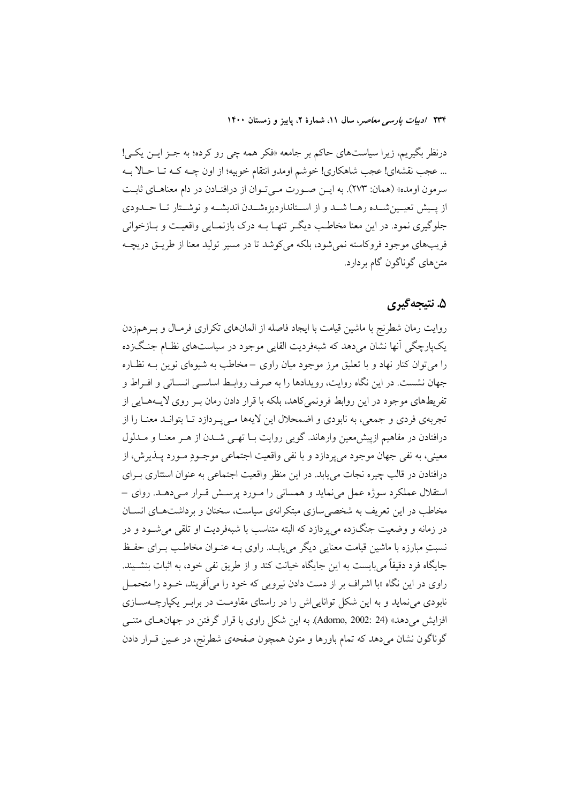درنظر بگیریم، زیرا سیاستهای حاکم بر جامعه «فکر همه چی رو کرده؛ به جـز ایــن یکــی! ... عجب نقشهاي! عجب شاهكاري! خوشم اومدو انتقام خوبيه؛ از اون چـه كـه تـا حـالا بـه سرمون اومده» (همان: ٢٧٣). به ايـن صـورت مـىتـوان از درافتـادن در دام معناهـاى ثابـت از پیش تعیین شده رهـا شـد و از اسـتانداردیزهشـدن اندیشـه و نوشـتار تـا حـدودی جلوگیری نمود. در این معنا مخاطب دیگ تنهـا بــه درک بازنمـایی واقعیـت و بــازخوانی فريبهاي موجود فروكاسته نمي شود، بلكه مي كوشد تا در مسير توليد معنا از طريــق دريچــه متنهای گوناگون گام بردارد.

### ۵. نتيجه گيري

روایت رمان شطرنج با ماشین قیامت با ایجاد فاصله از المانهای تکراری فرمـال و بـرهمزدن یکپارچگی آنها نشان میدهد که شبهفردیت القایی موجود در سیاستهای نظـام جنـگ(ده را می توان کنار نهاد و با تعلیق مرز موجود میان راوی –مخاطب به شیوهای نوین بــه نظــاره جهان نشست. در این نگاه روایت، رویدادها را به صرف روابط اساسبی انســانی و افــراط و تفریطهای موجود در این روابط فرونمی کاهد، بلکه با قرار دادن رمان بـر روی لایــههــایی از تجربهي فردي و جمعي، به نابودي و اضمحلال اين لايهها مـي پـردازد تـا بتوانـد معنـا را از درافتادن در مفاهیم ازییش معین وارهاند. گویی روایت بــا تهــی شــدن از هــر معنــا و مــدلول معيني، به نفي جهان موجود مي يردازد و با نفي واقعيت اجتماعي موجـود مـورد پــذيرش، از درافتادن در قالب چیره نجات می یابد. در این منظر واقعیت اجتماعی به عنوان استتاری بـرای استقلال عملکرد سوژه عمل می نماید و همسانی را مـورد پرسـش قـرار مـیدهـد. روای – مخاطب در این تعریف به شخصی سازی مبتکرانهی سیاست، سخنان و برداشتهـای انســان در زمانه و وضعیت جنگزده می پردازد که البته متناسب با شبهفردیت او تلقی می شــود و در نسبتِ مبارزه با ماشین قیامت معنایی دیگر می پابـد. راوی بـه عنـوان مخاطـب بـرای حفـظ جایگاه فرد دقیقاً می،بایست به این جایگاه خیانت کند و از طریق نفی خود، به اثبات بنشـیند. راوی در این نگاه «با اشراف بر از دست دادن نیرویی که خود را می آفریند، خـود را متحمــل نابودی می نماید و به این شکل تواناییاش را در راستای مقاومت در برابـر یکپارچــهســازی افزایش میدهد» (24 :2002 ,Adorno). به این شکل راوی با قرار گرفتن در جهانهـای متنـّـی گوناگون نشان میدهد که تمام باورها و متون همچون صفحهی شطرنج، در عـین قـرار دادن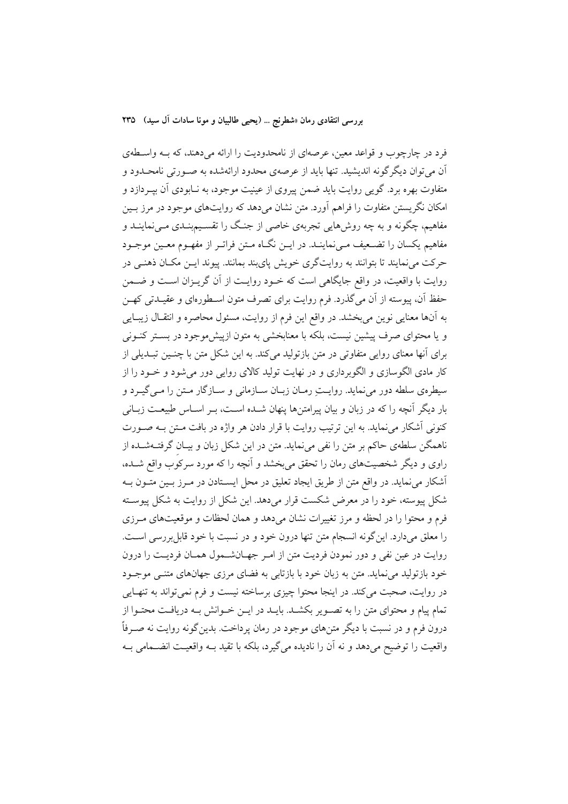فرد در چارچوب و قواعد معین، عرصهای از نامحدودیت را ارائه میدهند، که بـه واسـطهی آن می توان دیگر گونه اندیشید. تنها باید از عرصهی محدود ارائهشده به صـورتی نامحـدود و متفاوت بهره برد. گویی روایت باید ضمن پیروی از عینیت موجود، به نـابودی آن بپــردازد و امکان نگریستن متفاوت را فراهم آورد. متن نشان میدهد که روایتهای موجود در مرز بـین مفاهیم، چگونه و به چه روش۵ایی تجربهی خاصی از جنگ را تقسـیمېنــدی مــینماینــد و مفاهیم یکسان را تضـعیف مـیiماینـد. در ایــن نگــاه مــتن فراتــر از مفهــوم معــین موجــود حرکت می نمایند تا بتوانند به روایتگری خویش پایبند بمانند. پیوند ایــن مکــان ذهنــی در روایت با واقعیت، در واقع جایگاهی است که خـود روایـت از آن گریـزان اسـت و ضــمن حفظ آن، پیوسته از آن می گذرد. فرم روایت برای تصرف متون اسـطورهای و عقیـدتی کهـن به آنها معنایی نوین میبخشد. در واقع این فرم از روایت، مسئول محاصره و انتقـال زیبـایی و یا محتوای صرف پیشین نیست، بلکه با معنابخشی به متون ازپیش موجود در بستر کنــونی برای آنها معنای روایی متفاوتی در متن بازتولید میکند. به این شکل متن با چنسین تبـدیلی از کار مادی الگوسازی و الگوبرداری و در نهایت تولید کالای روایی دور می شود و خــود را از سیطرهی سلطه دور می نماید. روایـتِ رمـان زبـان سـازمانی و سـازگار مـتن را مـی گیـرد و بار دیگر آنچه را که در زبان و بیان پیرامتنها پنهان شـده اسـت، بـر اسـاس طبیعـت زبـانی كنوني أشكار مي نمايد. به اين ترتيب روايت با قرار دادن هر واژه در بافت مـتن بـه صـورت ناهمگن سلطهی حاکم بر متن را نفی می نماید. متن در این شکل زبان و بیـان گرفتــهشــده از راوی و دیگر شخصیتهای رمان را تحقق میبخشد و آنچه را که مورد سرکوب واقع شـده، آشکار می نماید. در واقع متن از طریق ایجاد تعلیق در محل ایستادن در مـرز بـین متـون بـه شکل پیوسته، خود را در معرض شکست قرار میدهد. این شکل از روایت به شکل پیوسته فرم و محتوا را در لحظه و مرز تغییرات نشان می دهد و همان لحظات و موقعیتهای مـرزی را معلق مي دارد. اين گونه انسجام متن تنها درون خود و در نسبت با خود قابل بررسي است. روايت در عين نفي و دور نمودن فرديت متن از امـر جهـانشــمول همـان فرديـت را درون خود بازتولید می نماید. متن به زبان خود با بازتابی به فضای مرزی جهانهای متنــی موجــود در روايت، صحبت مي كند. در اينجا محتوا چيزي برساخته نيست و فرم نمي تواند به تنهـايي تمام پیام و محتوای متن را به تصـویر بکشـد. بایـد در ایـن خـوانش بـه دریافـت محتـوا از درون فرم و در نسبت با دیگر متنهای موجود در رمان پرداخت. بدین گونه روایت نه صـرفاً واقعیت را توضیح میدهد و نه آن را نادیده می گیرد، بلکه با تقید بـه واقعیـت انضــمامی بـه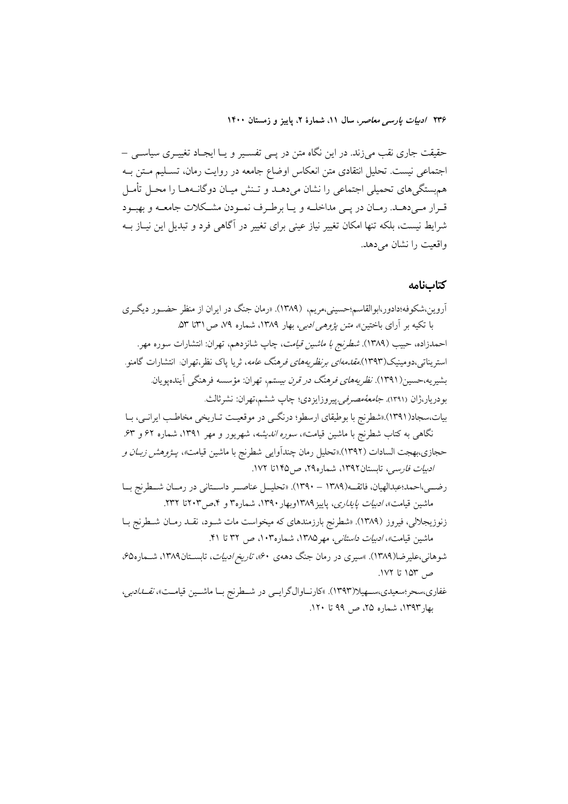حقیقت جاری نقب میزند. در این نگاه متن در پـی تفسـیر و یـا ایجـاد تغییـری سیاسـی – اجتماعی نیست. تحلیل انتقادی متن انعکاس اوضاع جامعه در روایت رمان، تسـلیم مـتن بـه همهستگیهای تحمیلی اجتماعی را نشان میدهـد و تـنش میـان دوگانـههـا را محـل تأمـل قـرار مـيدهــد. رمــان در يــي مداخلــه و يــا برطـرف نمــودن مشــكلات جامعــه و بهبــود شرايط نيست، بلكه تنها امكان تغيير نياز عيني براي تغيير در آگاهي فرد و تبديل اين نيــاز بــه واقعیت را نشان می دهد.

#### كتابنامه

آروین،شکوفه؛دادور،ابوالقاسم؛حسینی،مریم، (۱۳۸۹). «رمان جنگ در ایران از منظر حضـور دیگـری با تکیه بر آرای باختین»، *متن پژوهی ادبی،* بهار ۱۳۸۹، شماره ۷۹، ص ۳۱تا ۵۳. احمدزاده، حبيب (١٣٨٩). *شطرنج با ماشين قيامت*، چاپ شانزدهم، تهران: انتشارات سوره مهر. استریناتی،دومینیک(۱۳۹۳).*مقا<sub>م</sub>مهای برنظر بههای فرهنگ عامه*، ثریا پاک نظر،تهران انتشارات گامنو. بشیریه،حسین(۱۳۹۱)*. نظریههای فرهنگ در قرن بیستم*، تهران: مؤسسه فرهنگی آیندهیویان. بودريار،ژان (۱۳۹۱). *جامعهٔمصرفی ب*یروزایزدی؛ چاپ ششم،تهران: نشرثالث. بیات،سجاد(۱۳۹۱) «شطرنج با بوطیقای ارسطو؛ درنگے در موقعیت تـاریخی مخاطـب ایرانـی، بـا نگاهی به کتاب شطرنج با ماشین قیامت*»، سوره اندیشه*، شهریور و مهر ۱۳۹۱، شماره ۶۲ و ۶۳. حجازي،بهجت السادات (١٣٩٢).«تحليل رمان چندآوايي شطرنج با ماشين قيامت*»، پـژوهش زبـان و* ا*دیبات فارسی،* تابستان۱۳۹۲، شماره۲۹، ص۱۴۵ تا ۱۷۲. رضــي،احمد؛عبدالهيان، فائقــه(١٣٨٩ - ١٣٩٠). «تحليــل عناصــر داســتاني در رمــان شــطرنج بــا ماشین قیامت»، *ادبیات پایداری*، پاییز۱۳۸۹وبهار ۱۳۹۰، شماره۳ و ۴،ص۳۰۳تا ۲۳۲. زنوزیجلالی، فیروز (۱۳۸۹). «شطرنج بارزمندهای که میخواست مات شـود، نقـد رمـان شـطرنج بـا ماشین قیامت*»، ادبیات داستانی، مهر ۱*۳۸۵، شماره۱۰۳، ص ۳۲ تا ۴۱. شوهانی،علیرضا(۱۳۸۹). »سیری در رمان جنگ دههی ۴۰»، *تاریخ ادبیات*، تابسـتان۱۳۸۹، شــماره۵، ص ۱۵۳ تا ۱۷۲.

غفاري،سحر؛سعيدي،ســهيلا(١٣٩٣). »كارنــاوالگرايــي در شــطرنج بــا ماشــين قيامــت»، *نقــال*دبي، بھار ۱۳۹۳، شمارہ ۲۵، ص ۹۹ تا ۱۲۰.